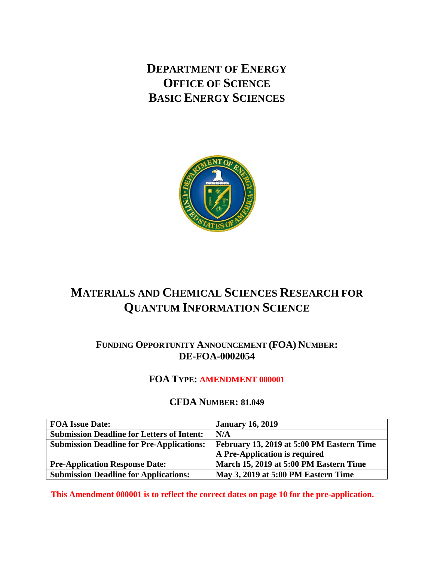**DEPARTMENT OF ENERGY OFFICE OF SCIENCE BASIC ENERGY SCIENCES**



# **MATERIALS AND CHEMICAL SCIENCES RESEARCH FOR QUANTUM INFORMATION SCIENCE**

# **FUNDING OPPORTUNITY ANNOUNCEMENT (FOA) NUMBER: DE-FOA-0002054**

# **FOA TYPE: AMENDMENT 000001**

# **CFDA NUMBER: 81.049**

| <b>FOA Issue Date:</b>                            | <b>January 16, 2019</b>                   |
|---------------------------------------------------|-------------------------------------------|
| <b>Submission Deadline for Letters of Intent:</b> | N/A                                       |
| <b>Submission Deadline for Pre-Applications:</b>  | February 13, 2019 at 5:00 PM Eastern Time |
|                                                   | A Pre-Application is required             |
| <b>Pre-Application Response Date:</b>             | March 15, 2019 at 5:00 PM Eastern Time    |
| <b>Submission Deadline for Applications:</b>      | May 3, 2019 at 5:00 PM Eastern Time       |

**This Amendment 000001 is to reflect the correct dates on page 10 for the pre-application.**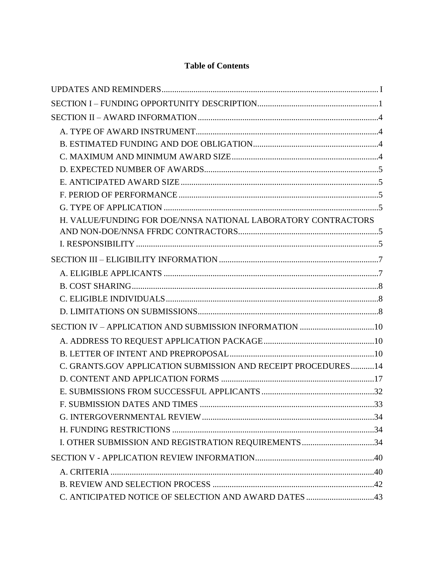# **Table of Contents**

| H. VALUE/FUNDING FOR DOE/NNSA NATIONAL LABORATORY CONTRACTORS |  |
|---------------------------------------------------------------|--|
|                                                               |  |
|                                                               |  |
|                                                               |  |
|                                                               |  |
|                                                               |  |
|                                                               |  |
|                                                               |  |
|                                                               |  |
|                                                               |  |
|                                                               |  |
| C. GRANTS.GOV APPLICATION SUBMISSION AND RECEIPT PROCEDURES14 |  |
|                                                               |  |
|                                                               |  |
|                                                               |  |
|                                                               |  |
|                                                               |  |
| I. OTHER SUBMISSION AND REGISTRATION REQUIREMENTS34           |  |
|                                                               |  |
|                                                               |  |
|                                                               |  |
| C. ANTICIPATED NOTICE OF SELECTION AND AWARD DATES 43         |  |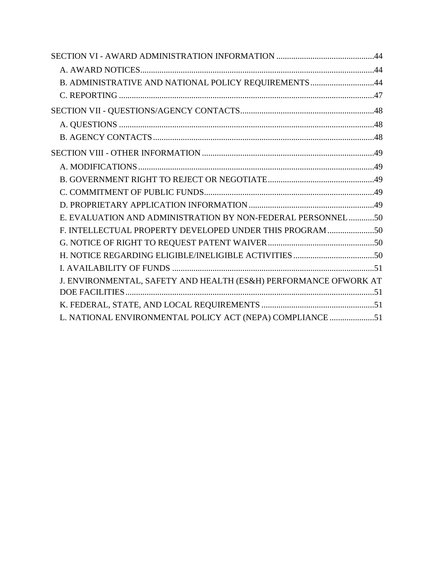| B. ADMINISTRATIVE AND NATIONAL POLICY REQUIREMENTS 44            |  |
|------------------------------------------------------------------|--|
|                                                                  |  |
|                                                                  |  |
|                                                                  |  |
|                                                                  |  |
|                                                                  |  |
|                                                                  |  |
|                                                                  |  |
|                                                                  |  |
|                                                                  |  |
| E. EVALUATION AND ADMINISTRATION BY NON-FEDERAL PERSONNEL50      |  |
| F. INTELLECTUAL PROPERTY DEVELOPED UNDER THIS PROGRAM 50         |  |
|                                                                  |  |
|                                                                  |  |
|                                                                  |  |
| J. ENVIRONMENTAL, SAFETY AND HEALTH (ES&H) PERFORMANCE OFWORK AT |  |
|                                                                  |  |
|                                                                  |  |
| L. NATIONAL ENVIRONMENTAL POLICY ACT (NEPA) COMPLIANCE 51        |  |
|                                                                  |  |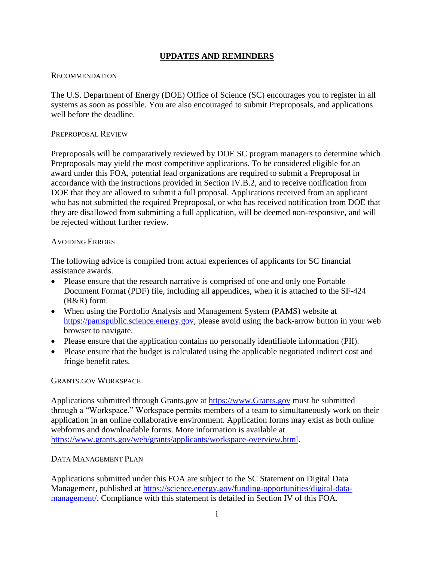### **UPDATES AND REMINDERS**

#### <span id="page-4-0"></span>RECOMMENDATION

The U.S. Department of Energy (DOE) Office of Science (SC) encourages you to register in all systems as soon as possible. You are also encouraged to submit Preproposals, and applications well before the deadline.

#### PREPROPOSAL REVIEW

Preproposals will be comparatively reviewed by DOE SC program managers to determine which Preproposals may yield the most competitive applications. To be considered eligible for an award under this FOA, potential lead organizations are required to submit a Preproposal in accordance with the instructions provided in Section IV.B.2, and to receive notification from DOE that they are allowed to submit a full proposal. Applications received from an applicant who has not submitted the required Preproposal, or who has received notification from DOE that they are disallowed from submitting a full application, will be deemed non-responsive, and will be rejected without further review.

#### AVOIDING ERRORS

The following advice is compiled from actual experiences of applicants for SC financial assistance awards.

- Please ensure that the research narrative is comprised of one and only one Portable Document Format (PDF) file, including all appendices, when it is attached to the SF-424 (R&R) form.
- When using the Portfolio Analysis and Management System (PAMS) website at [https://pamspublic.science.energy.gov,](https://pamspublic.science.energy.gov/) please avoid using the back-arrow button in your web browser to navigate.
- Please ensure that the application contains no personally identifiable information (PII).
- Please ensure that the budget is calculated using the applicable negotiated indirect cost and fringe benefit rates.

#### GRANTS.GOV WORKSPACE

Applications submitted through Grants.gov at [https://www.Grants.gov](https://www.grants.gov/) must be submitted through a "Workspace." Workspace permits members of a team to simultaneously work on their application in an online collaborative environment. Application forms may exist as both online webforms and downloadable forms. More information is available at [https://www.grants.gov/web/grants/applicants/workspace-overview.html.](https://www.grants.gov/web/grants/applicants/workspace-overview.html)

#### DATA MANAGEMENT PLAN

Applications submitted under this FOA are subject to the SC Statement on Digital Data Management, published at [https://science.energy.gov/funding-opportunities/digital-data](http://science.energy.gov/funding-opportunities/digital-data-management/)[management/.](http://science.energy.gov/funding-opportunities/digital-data-management/) Compliance with this statement is detailed in Section IV of this FOA.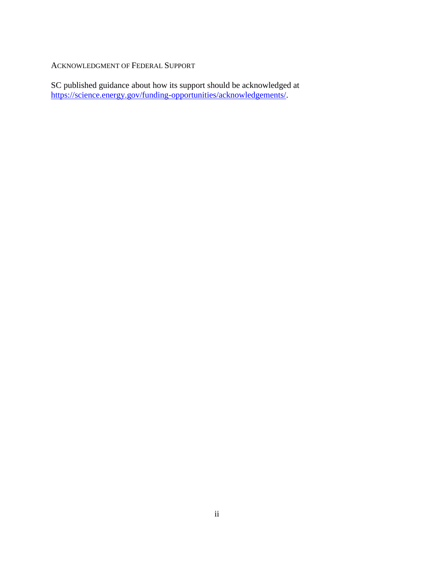ACKNOWLEDGMENT OF FEDERAL SUPPORT

SC published guidance about how its support should be acknowledged at [https://science.energy.gov/funding-opportunities/acknowledgements/.](http://science.energy.gov/funding-opportunities/acknowledgements/)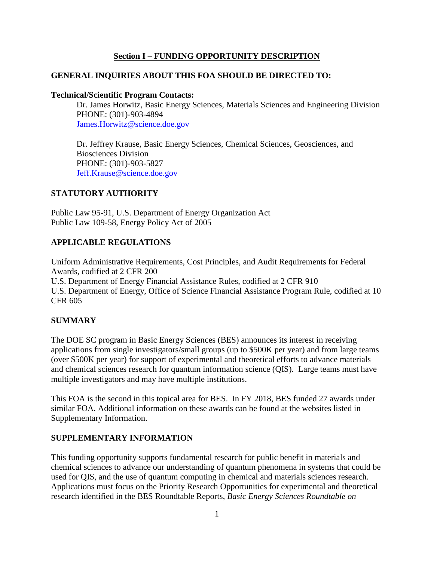### **Section I – FUNDING OPPORTUNITY DESCRIPTION**

### <span id="page-6-0"></span>**GENERAL INQUIRIES ABOUT THIS FOA SHOULD BE DIRECTED TO:**

#### **Technical/Scientific Program Contacts:**

Dr. James Horwitz, Basic Energy Sciences, Materials Sciences and Engineering Division PHONE: (301)-903-4894 James.Horwitz@science.doe.gov

Dr. Jeffrey Krause, Basic Energy Sciences, Chemical Sciences, Geosciences, and Biosciences Division PHONE: (301)-903-5827 [Jeff.Krause@science.doe.gov](mailto:Jeff.Krause@science.doe.gov)

### **STATUTORY AUTHORITY**

Public Law 95-91, U.S. Department of Energy Organization Act Public Law 109-58, Energy Policy Act of 2005

### **APPLICABLE REGULATIONS**

Uniform Administrative Requirements, Cost Principles, and Audit Requirements for Federal Awards, codified at 2 CFR 200

U.S. Department of Energy Financial Assistance Rules, codified at 2 CFR 910 U.S. Department of Energy, Office of Science Financial Assistance Program Rule, codified at 10 CFR 605

### **SUMMARY**

The DOE SC program in Basic Energy Sciences (BES) announces its interest in receiving applications from single investigators/small groups (up to \$500K per year) and from large teams (over \$500K per year) for support of experimental and theoretical efforts to advance materials and chemical sciences research for quantum information science (QIS). Large teams must have multiple investigators and may have multiple institutions.

This FOA is the second in this topical area for BES. In FY 2018, BES funded 27 awards under similar FOA. Additional information on these awards can be found at the websites listed in Supplementary Information.

#### **SUPPLEMENTARY INFORMATION**

This funding opportunity supports fundamental research for public benefit in materials and chemical sciences to advance our understanding of quantum phenomena in systems that could be used for QIS, and the use of quantum computing in chemical and materials sciences research. Applications must focus on the Priority Research Opportunities for experimental and theoretical research identified in the BES Roundtable Reports, *Basic Energy Sciences Roundtable on*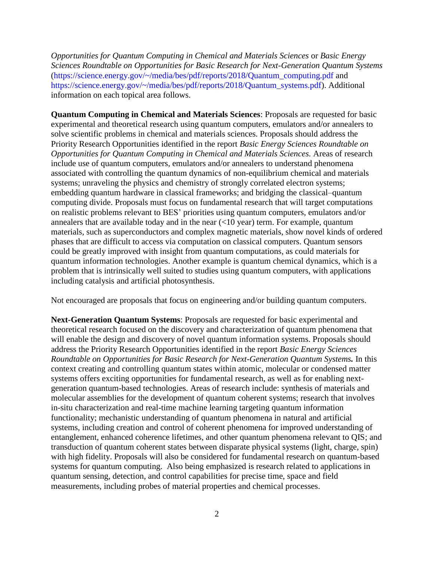*Opportunities for Quantum Computing in Chemical and Materials Sciences* or *Basic Energy Sciences Roundtable on Opportunities for Basic Research for Next-Generation Quantum Systems* (https://science.energy.gov/~/media/bes/pdf/reports/2018/Quantum\_computing.pdf and https://science.energy.gov/~/media/bes/pdf/reports/2018/Quantum\_systems.pdf). Additional information on each topical area follows.

**Quantum Computing in Chemical and Materials Sciences**: Proposals are requested for basic experimental and theoretical research using quantum computers, emulators and/or annealers to solve scientific problems in chemical and materials sciences. Proposals should address the Priority Research Opportunities identified in the report *Basic Energy Sciences Roundtable on Opportunities for Quantum Computing in Chemical and Materials Sciences.* Areas of research include use of quantum computers, emulators and/or annealers to understand phenomena associated with controlling the quantum dynamics of non-equilibrium chemical and materials systems; unraveling the physics and chemistry of strongly correlated electron systems; embedding quantum hardware in classical frameworks; and bridging the classical–quantum computing divide. Proposals must focus on fundamental research that will target computations on realistic problems relevant to BES' priorities using quantum computers, emulators and/or annealers that are available today and in the near  $(<10$  year) term. For example, quantum materials, such as superconductors and complex magnetic materials, show novel kinds of ordered phases that are difficult to access via computation on classical computers. Quantum sensors could be greatly improved with insight from quantum computations, as could materials for quantum information technologies. Another example is quantum chemical dynamics, which is a problem that is intrinsically well suited to studies using quantum computers, with applications including catalysis and artificial photosynthesis.

Not encouraged are proposals that focus on engineering and/or building quantum computers.

**Next-Generation Quantum Systems**: Proposals are requested for basic experimental and theoretical research focused on the discovery and characterization of quantum phenomena that will enable the design and discovery of novel quantum information systems. Proposals should address the Priority Research Opportunities identified in the report *Basic Energy Sciences Roundtable on Opportunities for Basic Research for Next-Generation Quantum Systems.* In this context creating and controlling quantum states within atomic, molecular or condensed matter systems offers exciting opportunities for fundamental research, as well as for enabling nextgeneration quantum-based technologies. Areas of research include: synthesis of materials and molecular assemblies for the development of quantum coherent systems; research that involves in-situ characterization and real-time machine learning targeting quantum information functionality; mechanistic understanding of quantum phenomena in natural and artificial systems, including creation and control of coherent phenomena for improved understanding of entanglement, enhanced coherence lifetimes, and other quantum phenomena relevant to QIS; and transduction of quantum coherent states between disparate physical systems (light, charge, spin) with high fidelity. Proposals will also be considered for fundamental research on quantum-based systems for quantum computing. Also being emphasized is research related to applications in quantum sensing, detection, and control capabilities for precise time, space and field measurements, including probes of material properties and chemical processes.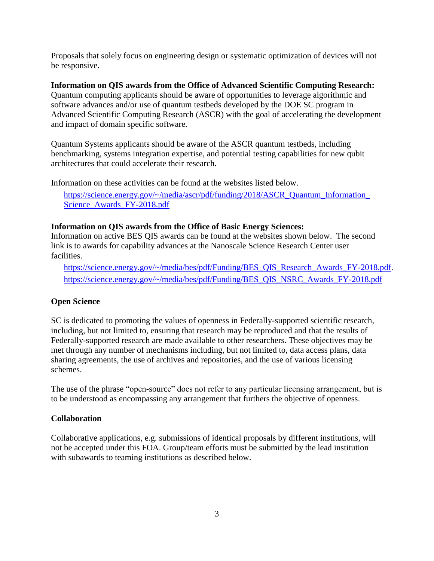Proposals that solely focus on engineering design or systematic optimization of devices will not be responsive.

**Information on QIS awards from the Office of Advanced Scientific Computing Research:**  Quantum computing applicants should be aware of opportunities to leverage algorithmic and software advances and/or use of quantum testbeds developed by the DOE SC program in Advanced Scientific Computing Research (ASCR) with the goal of accelerating the development and impact of domain specific software.

Quantum Systems applicants should be aware of the ASCR quantum testbeds, including benchmarking, systems integration expertise, and potential testing capabilities for new qubit architectures that could accelerate their research.

Information on these activities can be found at the websites listed below.

[https://science.energy.gov/~/media/ascr/pdf/funding/2018/ASCR\\_Quantum\\_Information\\_](https://science.energy.gov/~/media/ascr/pdf/funding/2018/ASCR_Quantum_Information_Science_Awards_FY-2018.pdf) Science Awards FY-2018.pdf

### **Information on QIS awards from the Office of Basic Energy Sciences:**

Information on active BES QIS awards can be found at the websites shown below. The second link is to awards for capability advances at the Nanoscale Science Research Center user facilities.

[https://science.energy.gov/~/media/bes/pdf/Funding/BES\\_QIS\\_Research\\_Awards\\_FY-2018.pdf.](https://science.energy.gov/~/media/bes/pdf/Funding/BES_QIS_Research_Awards_FY-2018.pdf) [https://science.energy.gov/~/media/bes/pdf/Funding/BES\\_QIS\\_NSRC\\_Awards\\_FY-2018.pdf](https://science.energy.gov/~/media/bes/pdf/Funding/BES_QIS_NSRC_Awards_FY-2018.pdf)

### **Open Science**

SC is dedicated to promoting the values of openness in Federally-supported scientific research, including, but not limited to, ensuring that research may be reproduced and that the results of Federally-supported research are made available to other researchers. These objectives may be met through any number of mechanisms including, but not limited to, data access plans, data sharing agreements, the use of archives and repositories, and the use of various licensing schemes.

The use of the phrase "open-source" does not refer to any particular licensing arrangement, but is to be understood as encompassing any arrangement that furthers the objective of openness.

### **Collaboration**

Collaborative applications, e.g. submissions of identical proposals by different institutions, will not be accepted under this FOA. Group/team efforts must be submitted by the lead institution with subawards to teaming institutions as described below.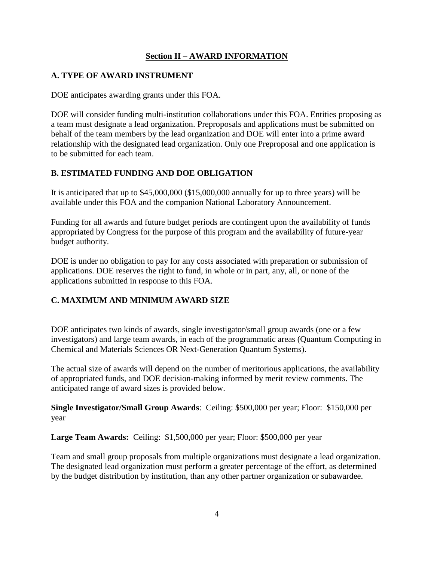### **Section II – AWARD INFORMATION**

### <span id="page-9-1"></span><span id="page-9-0"></span>**A. TYPE OF AWARD INSTRUMENT**

DOE anticipates awarding grants under this FOA.

DOE will consider funding multi-institution collaborations under this FOA. Entities proposing as a team must designate a lead organization. Preproposals and applications must be submitted on behalf of the team members by the lead organization and DOE will enter into a prime award relationship with the designated lead organization. Only one Preproposal and one application is to be submitted for each team.

### <span id="page-9-2"></span>**B. ESTIMATED FUNDING AND DOE OBLIGATION**

It is anticipated that up to \$45,000,000 (\$15,000,000 annually for up to three years) will be available under this FOA and the companion National Laboratory Announcement.

Funding for all awards and future budget periods are contingent upon the availability of funds appropriated by Congress for the purpose of this program and the availability of future-year budget authority.

DOE is under no obligation to pay for any costs associated with preparation or submission of applications. DOE reserves the right to fund, in whole or in part, any, all, or none of the applications submitted in response to this FOA.

# <span id="page-9-3"></span>**C. MAXIMUM AND MINIMUM AWARD SIZE**

DOE anticipates two kinds of awards, single investigator/small group awards (one or a few investigators) and large team awards, in each of the programmatic areas (Quantum Computing in Chemical and Materials Sciences OR Next-Generation Quantum Systems).

The actual size of awards will depend on the number of meritorious applications, the availability of appropriated funds, and DOE decision-making informed by merit review comments. The anticipated range of award sizes is provided below.

**Single Investigator/Small Group Awards**: Ceiling: \$500,000 per year; Floor: \$150,000 per year

**Large Team Awards:** Ceiling: \$1,500,000 per year; Floor: \$500,000 per year

Team and small group proposals from multiple organizations must designate a lead organization. The designated lead organization must perform a greater percentage of the effort, as determined by the budget distribution by institution, than any other partner organization or subawardee.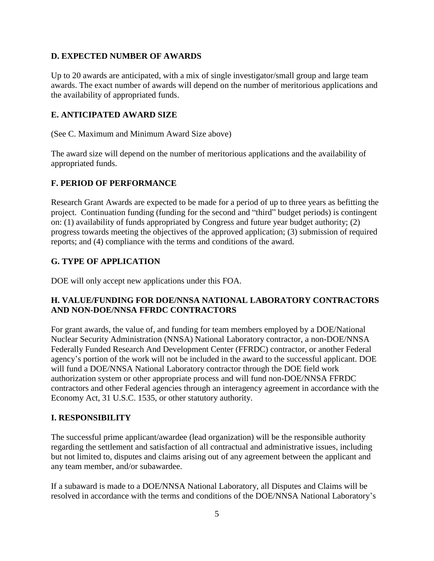### <span id="page-10-0"></span>**D. EXPECTED NUMBER OF AWARDS**

Up to 20 awards are anticipated, with a mix of single investigator/small group and large team awards. The exact number of awards will depend on the number of meritorious applications and the availability of appropriated funds.

### <span id="page-10-1"></span>**E. ANTICIPATED AWARD SIZE**

(See C. Maximum and Minimum Award Size above)

The award size will depend on the number of meritorious applications and the availability of appropriated funds.

### <span id="page-10-2"></span>**F. PERIOD OF PERFORMANCE**

Research Grant Awards are expected to be made for a period of up to three years as befitting the project. Continuation funding (funding for the second and "third" budget periods) is contingent on: (1) availability of funds appropriated by Congress and future year budget authority; (2) progress towards meeting the objectives of the approved application; (3) submission of required reports; and (4) compliance with the terms and conditions of the award.

### <span id="page-10-3"></span>**G. TYPE OF APPLICATION**

DOE will only accept new applications under this FOA.

### <span id="page-10-4"></span>**H. VALUE/FUNDING FOR DOE/NNSA NATIONAL LABORATORY CONTRACTORS AND NON-DOE/NNSA FFRDC CONTRACTORS**

For grant awards, the value of, and funding for team members employed by a DOE/National Nuclear Security Administration (NNSA) National Laboratory contractor, a non-DOE/NNSA Federally Funded Research And Development Center (FFRDC) contractor, or another Federal agency's portion of the work will not be included in the award to the successful applicant. DOE will fund a DOE/NNSA National Laboratory contractor through the DOE field work authorization system or other appropriate process and will fund non-DOE/NNSA FFRDC contractors and other Federal agencies through an interagency agreement in accordance with the Economy Act, 31 U.S.C. 1535, or other statutory authority.

#### <span id="page-10-5"></span>**I. RESPONSIBILITY**

The successful prime applicant/awardee (lead organization) will be the responsible authority regarding the settlement and satisfaction of all contractual and administrative issues, including but not limited to, disputes and claims arising out of any agreement between the applicant and any team member, and/or subawardee.

If a subaward is made to a DOE/NNSA National Laboratory, all Disputes and Claims will be resolved in accordance with the terms and conditions of the DOE/NNSA National Laboratory's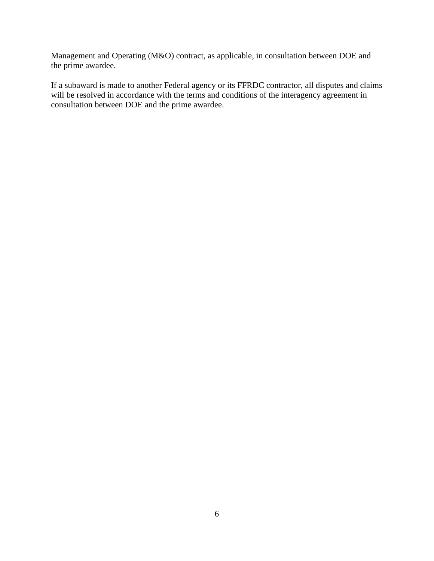Management and Operating (M&O) contract, as applicable, in consultation between DOE and the prime awardee.

If a subaward is made to another Federal agency or its FFRDC contractor, all disputes and claims will be resolved in accordance with the terms and conditions of the interagency agreement in consultation between DOE and the prime awardee.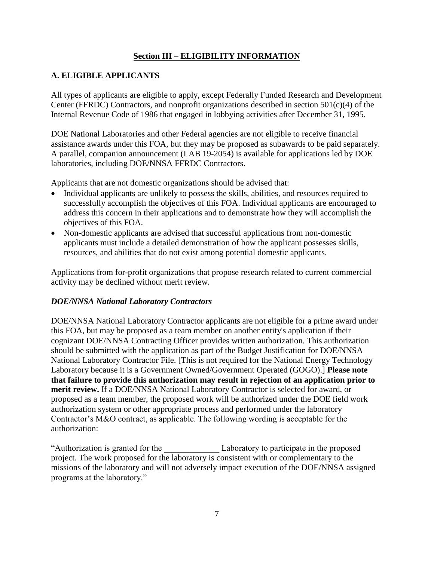### **Section III – ELIGIBILITY INFORMATION**

# <span id="page-12-1"></span><span id="page-12-0"></span>**A. ELIGIBLE APPLICANTS**

All types of applicants are eligible to apply, except Federally Funded Research and Development Center (FFRDC) Contractors, and nonprofit organizations described in section 501(c)(4) of the Internal Revenue Code of 1986 that engaged in lobbying activities after December 31, 1995.

DOE National Laboratories and other Federal agencies are not eligible to receive financial assistance awards under this FOA, but they may be proposed as subawards to be paid separately. A parallel, companion announcement (LAB 19-2054) is available for applications led by DOE laboratories, including DOE/NNSA FFRDC Contractors.

Applicants that are not domestic organizations should be advised that:

- Individual applicants are unlikely to possess the skills, abilities, and resources required to successfully accomplish the objectives of this FOA. Individual applicants are encouraged to address this concern in their applications and to demonstrate how they will accomplish the objectives of this FOA.
- Non-domestic applicants are advised that successful applications from non-domestic applicants must include a detailed demonstration of how the applicant possesses skills, resources, and abilities that do not exist among potential domestic applicants.

Applications from for-profit organizations that propose research related to current commercial activity may be declined without merit review.

### *DOE/NNSA National Laboratory Contractors*

DOE/NNSA National Laboratory Contractor applicants are not eligible for a prime award under this FOA, but may be proposed as a team member on another entity's application if their cognizant DOE/NNSA Contracting Officer provides written authorization. This authorization should be submitted with the application as part of the Budget Justification for DOE/NNSA National Laboratory Contractor File. [This is not required for the National Energy Technology Laboratory because it is a Government Owned/Government Operated (GOGO).] **Please note that failure to provide this authorization may result in rejection of an application prior to merit review.** If a DOE/NNSA National Laboratory Contractor is selected for award, or proposed as a team member, the proposed work will be authorized under the DOE field work authorization system or other appropriate process and performed under the laboratory Contractor's M&O contract, as applicable. The following wording is acceptable for the authorization:

"Authorization is granted for the Laboratory to participate in the proposed project. The work proposed for the laboratory is consistent with or complementary to the missions of the laboratory and will not adversely impact execution of the DOE/NNSA assigned programs at the laboratory."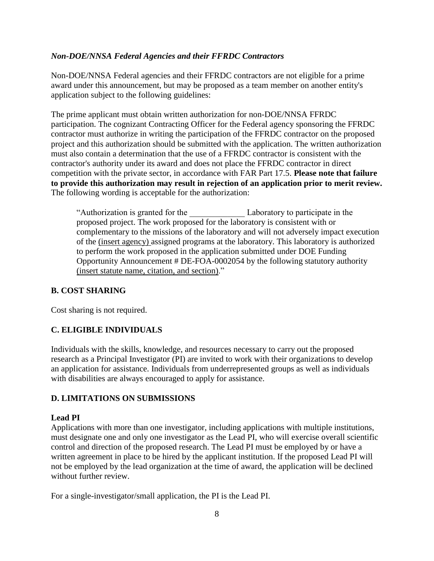### *Non-DOE/NNSA Federal Agencies and their FFRDC Contractors*

Non-DOE/NNSA Federal agencies and their FFRDC contractors are not eligible for a prime award under this announcement, but may be proposed as a team member on another entity's application subject to the following guidelines:

The prime applicant must obtain written authorization for non-DOE/NNSA FFRDC participation. The cognizant Contracting Officer for the Federal agency sponsoring the FFRDC contractor must authorize in writing the participation of the FFRDC contractor on the proposed project and this authorization should be submitted with the application. The written authorization must also contain a determination that the use of a FFRDC contractor is consistent with the contractor's authority under its award and does not place the FFRDC contractor in direct competition with the private sector, in accordance with FAR Part 17.5. **Please note that failure to provide this authorization may result in rejection of an application prior to merit review.** The following wording is acceptable for the authorization:

"Authorization is granted for the \_\_\_\_\_\_\_\_\_\_\_\_\_ Laboratory to participate in the proposed project. The work proposed for the laboratory is consistent with or complementary to the missions of the laboratory and will not adversely impact execution of the (insert agency) assigned programs at the laboratory. This laboratory is authorized to perform the work proposed in the application submitted under DOE Funding Opportunity Announcement # DE-FOA-0002054 by the following statutory authority (insert statute name, citation, and section)."

### <span id="page-13-0"></span>**B. COST SHARING**

Cost sharing is not required.

### <span id="page-13-1"></span>**C. ELIGIBLE INDIVIDUALS**

Individuals with the skills, knowledge, and resources necessary to carry out the proposed research as a Principal Investigator (PI) are invited to work with their organizations to develop an application for assistance. Individuals from underrepresented groups as well as individuals with disabilities are always encouraged to apply for assistance.

### <span id="page-13-2"></span>**D. LIMITATIONS ON SUBMISSIONS**

#### **Lead PI**

Applications with more than one investigator, including applications with multiple institutions, must designate one and only one investigator as the Lead PI, who will exercise overall scientific control and direction of the proposed research. The Lead PI must be employed by or have a written agreement in place to be hired by the applicant institution. If the proposed Lead PI will not be employed by the lead organization at the time of award, the application will be declined without further review.

For a single-investigator/small application, the PI is the Lead PI.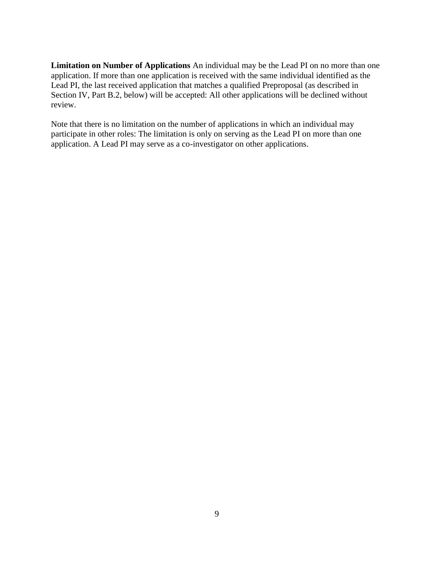**Limitation on Number of Applications** An individual may be the Lead PI on no more than one application. If more than one application is received with the same individual identified as the Lead PI, the last received application that matches a qualified Preproposal (as described in Section IV, Part B.2, below) will be accepted: All other applications will be declined without review.

Note that there is no limitation on the number of applications in which an individual may participate in other roles: The limitation is only on serving as the Lead PI on more than one application. A Lead PI may serve as a co-investigator on other applications.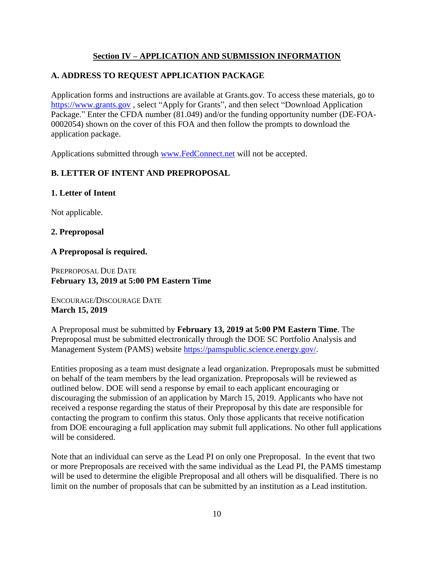### **Section IV – APPLICATION AND SUBMISSION INFORMATION**

# <span id="page-15-1"></span><span id="page-15-0"></span>**A. ADDRESS TO REQUEST APPLICATION PACKAGE**

Application forms and instructions are available at Grants.gov. To access these materials, go to [https://www.grants.gov](http://www.grants.gov/) , select "Apply for Grants", and then select "Download Application Package." Enter the CFDA number (81.049) and/or the funding opportunity number (DE-FOA-0002054) shown on the cover of this FOA and then follow the prompts to download the application package.

Applications submitted through [www.FedConnect.net](http://www.fedconnect.net/) will not be accepted.

### <span id="page-15-2"></span>**B. LETTER OF INTENT AND PREPROPOSAL**

### **1. Letter of Intent**

Not applicable.

### **2. Preproposal**

### **A Preproposal is required.**

PREPROPOSAL DUE DATE **February 13, 2019 at 5:00 PM Eastern Time**

ENCOURAGE/DISCOURAGE DATE **March 15, 2019**

A Preproposal must be submitted by **February 13, 2019 at 5:00 PM Eastern Time**. The Preproposal must be submitted electronically through the DOE SC Portfolio Analysis and Management System (PAMS) website [https://pamspublic.science.energy.gov/.](https://pamspublic.science.energy.gov/)

Entities proposing as a team must designate a lead organization. Preproposals must be submitted on behalf of the team members by the lead organization. Preproposals will be reviewed as outlined below. DOE will send a response by email to each applicant encouraging or discouraging the submission of an application by March 15, 2019. Applicants who have not received a response regarding the status of their Preproposal by this date are responsible for contacting the program to confirm this status. Only those applicants that receive notification from DOE encouraging a full application may submit full applications. No other full applications will be considered.

Note that an individual can serve as the Lead PI on only one Preproposal. In the event that two or more Preproposals are received with the same individual as the Lead PI, the PAMS timestamp will be used to determine the eligible Preproposal and all others will be disqualified. There is no limit on the number of proposals that can be submitted by an institution as a Lead institution.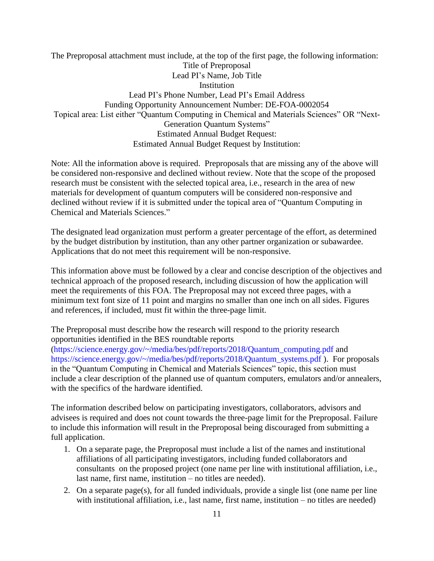The Preproposal attachment must include, at the top of the first page, the following information: Title of Preproposal Lead PI's Name, Job Title **Institution** Lead PI's Phone Number, Lead PI's Email Address Funding Opportunity Announcement Number: DE-FOA-0002054 Topical area: List either "Quantum Computing in Chemical and Materials Sciences" OR "Next-Generation Quantum Systems" Estimated Annual Budget Request: Estimated Annual Budget Request by Institution:

Note: All the information above is required. Preproposals that are missing any of the above will be considered non-responsive and declined without review. Note that the scope of the proposed research must be consistent with the selected topical area, i.e., research in the area of new materials for development of quantum computers will be considered non-responsive and declined without review if it is submitted under the topical area of "Quantum Computing in Chemical and Materials Sciences."

The designated lead organization must perform a greater percentage of the effort, as determined by the budget distribution by institution, than any other partner organization or subawardee. Applications that do not meet this requirement will be non-responsive.

This information above must be followed by a clear and concise description of the objectives and technical approach of the proposed research, including discussion of how the application will meet the requirements of this FOA. The Preproposal may not exceed three pages, with a minimum text font size of 11 point and margins no smaller than one inch on all sides. Figures and references, if included, must fit within the three-page limit.

#### The Preproposal must describe how the research will respond to the priority research opportunities identified in the BES roundtable reports

(https://science.energy.gov/~/media/bes/pdf/reports/2018/Quantum\_computing.pdf and https://science.energy.gov/~/media/bes/pdf/reports/2018/Quantum\_systems.pdf ). For proposals in the "Quantum Computing in Chemical and Materials Sciences" topic, this section must include a clear description of the planned use of quantum computers, emulators and/or annealers, with the specifics of the hardware identified.

The information described below on participating investigators, collaborators, advisors and advisees is required and does not count towards the three-page limit for the Preproposal. Failure to include this information will result in the Preproposal being discouraged from submitting a full application.

- 1. On a separate page, the Preproposal must include a list of the names and institutional affiliations of all participating investigators, including funded collaborators and consultants on the proposed project (one name per line with institutional affiliation, i.e., last name, first name, institution – no titles are needed).
- 2. On a separate page(s), for all funded individuals, provide a single list (one name per line with institutional affiliation, i.e., last name, first name, institution – no titles are needed)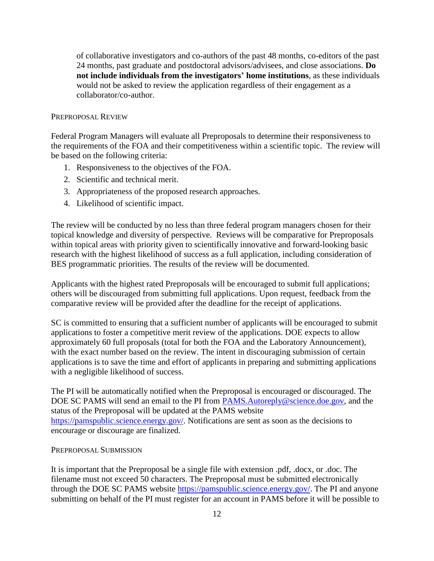of collaborative investigators and co-authors of the past 48 months, co-editors of the past 24 months, past graduate and postdoctoral advisors/advisees, and close associations. **Do not include individuals from the investigators' home institutions**, as these individuals would not be asked to review the application regardless of their engagement as a collaborator/co-author.

#### PREPROPOSAL REVIEW

Federal Program Managers will evaluate all Preproposals to determine their responsiveness to the requirements of the FOA and their competitiveness within a scientific topic. The review will be based on the following criteria:

- 1. Responsiveness to the objectives of the FOA.
- 2. Scientific and technical merit.
- 3. Appropriateness of the proposed research approaches.
- 4. Likelihood of scientific impact.

The review will be conducted by no less than three federal program managers chosen for their topical knowledge and diversity of perspective. Reviews will be comparative for Preproposals within topical areas with priority given to scientifically innovative and forward-looking basic research with the highest likelihood of success as a full application, including consideration of BES programmatic priorities. The results of the review will be documented.

Applicants with the highest rated Preproposals will be encouraged to submit full applications; others will be discouraged from submitting full applications. Upon request, feedback from the comparative review will be provided after the deadline for the receipt of applications.

SC is committed to ensuring that a sufficient number of applicants will be encouraged to submit applications to foster a competitive merit review of the applications. DOE expects to allow approximately 60 full proposals (total for both the FOA and the Laboratory Announcement), with the exact number based on the review. The intent in discouraging submission of certain applications is to save the time and effort of applicants in preparing and submitting applications with a negligible likelihood of success.

The PI will be automatically notified when the Preproposal is encouraged or discouraged. The DOE SC PAMS will send an email to the PI from [PAMS.Autoreply@science.doe.gov,](mailto:PAMS.Autoreply@science.doe.gov) and the status of the Preproposal will be updated at the PAMS website [https://pamspublic.science.energy.gov/.](https://pamspublic.science.energy.gov/) Notifications are sent as soon as the decisions to encourage or discourage are finalized.

#### PREPROPOSAL SUBMISSION

It is important that the Preproposal be a single file with extension .pdf, .docx, or .doc. The filename must not exceed 50 characters. The Preproposal must be submitted electronically through the DOE SC PAMS website [https://pamspublic.science.energy.gov/.](https://pamspublic.science.energy.gov/) The PI and anyone submitting on behalf of the PI must register for an account in PAMS before it will be possible to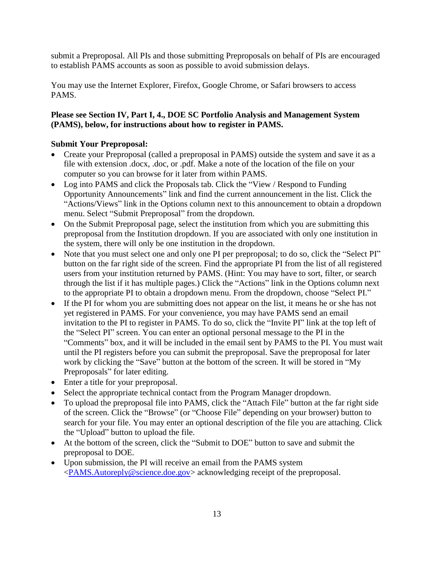submit a Preproposal. All PIs and those submitting Preproposals on behalf of PIs are encouraged to establish PAMS accounts as soon as possible to avoid submission delays.

You may use the Internet Explorer, Firefox, Google Chrome, or Safari browsers to access PAMS.

### **Please see Section IV, Part I, 4., DOE SC Portfolio Analysis and Management System (PAMS), below, for instructions about how to register in PAMS.**

### **Submit Your Preproposal:**

- Create your Preproposal (called a preproposal in PAMS) outside the system and save it as a file with extension .docx, .doc, or .pdf. Make a note of the location of the file on your computer so you can browse for it later from within PAMS.
- Log into PAMS and click the Proposals tab. Click the "View / Respond to Funding" Opportunity Announcements" link and find the current announcement in the list. Click the "Actions/Views" link in the Options column next to this announcement to obtain a dropdown menu. Select "Submit Preproposal" from the dropdown.
- On the Submit Preproposal page, select the institution from which you are submitting this preproposal from the Institution dropdown. If you are associated with only one institution in the system, there will only be one institution in the dropdown.
- Note that you must select one and only one PI per preproposal; to do so, click the "Select PI" button on the far right side of the screen. Find the appropriate PI from the list of all registered users from your institution returned by PAMS. (Hint: You may have to sort, filter, or search through the list if it has multiple pages.) Click the "Actions" link in the Options column next to the appropriate PI to obtain a dropdown menu. From the dropdown, choose "Select PI."
- If the PI for whom you are submitting does not appear on the list, it means he or she has not yet registered in PAMS. For your convenience, you may have PAMS send an email invitation to the PI to register in PAMS. To do so, click the "Invite PI" link at the top left of the "Select PI" screen. You can enter an optional personal message to the PI in the "Comments" box, and it will be included in the email sent by PAMS to the PI. You must wait until the PI registers before you can submit the preproposal. Save the preproposal for later work by clicking the "Save" button at the bottom of the screen. It will be stored in "My Preproposals" for later editing.
- Enter a title for your preproposal.
- Select the appropriate technical contact from the Program Manager dropdown.
- To upload the preproposal file into PAMS, click the "Attach File" button at the far right side of the screen. Click the "Browse" (or "Choose File" depending on your browser) button to search for your file. You may enter an optional description of the file you are attaching. Click the "Upload" button to upload the file.
- At the bottom of the screen, click the "Submit to DOE" button to save and submit the preproposal to DOE.
- Upon submission, the PI will receive an email from the PAMS system [<PAMS.Autoreply@science.doe.gov>](mailto:PAMS.Autoreply@science.doe.gov) acknowledging receipt of the preproposal.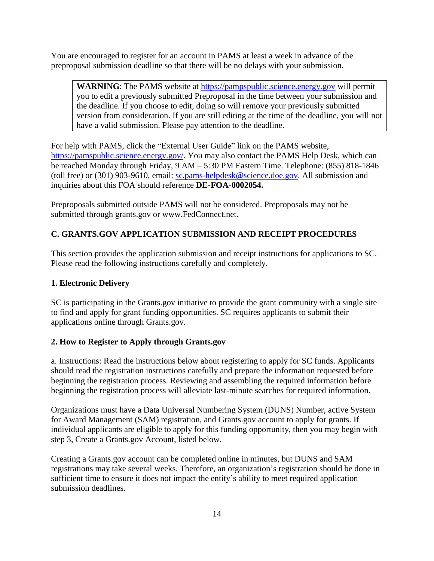You are encouraged to register for an account in PAMS at least a week in advance of the preproposal submission deadline so that there will be no delays with your submission.

WARNING: The PAMS website at [https://pampspublic.science.energy.gov](https://pampspublic.science.energy.gov/) will permit you to edit a previously submitted Preproposal in the time between your submission and the deadline. If you choose to edit, doing so will remove your previously submitted version from consideration. If you are still editing at the time of the deadline, you will not have a valid submission. Please pay attention to the deadline.

For help with PAMS, click the "External User Guide" link on the PAMS website, [https://pamspublic.science.energy.gov/.](https://pamspublic.science.energy.gov/) You may also contact the PAMS Help Desk, which can be reached Monday through Friday, 9 AM – 5:30 PM Eastern Time. Telephone: (855) 818-1846 (toll free) or (301) 903-9610, email: [sc.pams-helpdesk@science.doe.gov.](mailto:sc.pams-helpdesk@science.doe.gov) All submission and inquiries about this FOA should reference **DE-FOA-0002054.**

Preproposals submitted outside PAMS will not be considered. Preproposals may not be submitted through grants.gov or www.FedConnect.net.

# <span id="page-19-0"></span>**C. GRANTS.GOV APPLICATION SUBMISSION AND RECEIPT PROCEDURES**

This section provides the application submission and receipt instructions for applications to SC. Please read the following instructions carefully and completely.

### **1. Electronic Delivery**

SC is participating in the Grants.gov initiative to provide the grant community with a single site to find and apply for grant funding opportunities. SC requires applicants to submit their applications online through Grants.gov.

### **2. How to Register to Apply through Grants.gov**

a. Instructions: Read the instructions below about registering to apply for SC funds. Applicants should read the registration instructions carefully and prepare the information requested before beginning the registration process. Reviewing and assembling the required information before beginning the registration process will alleviate last-minute searches for required information.

Organizations must have a Data Universal Numbering System (DUNS) Number, active System for Award Management (SAM) registration, and Grants.gov account to apply for grants. If individual applicants are eligible to apply for this funding opportunity, then you may begin with step 3, Create a Grants.gov Account, listed below.

Creating a Grants.gov account can be completed online in minutes, but DUNS and SAM registrations may take several weeks. Therefore, an organization's registration should be done in sufficient time to ensure it does not impact the entity's ability to meet required application submission deadlines.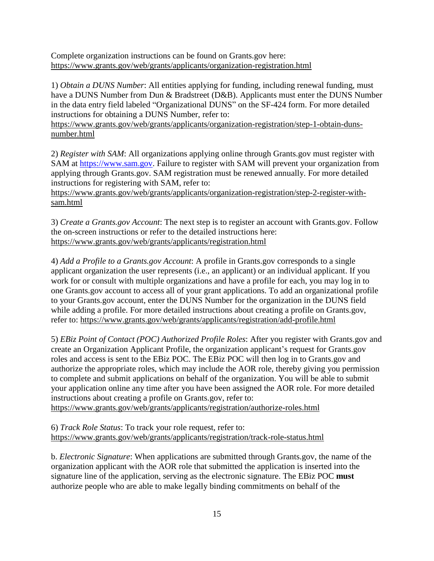Complete organization instructions can be found on Grants.gov here: <https://www.grants.gov/web/grants/applicants/organization-registration.html>

1) *Obtain a DUNS Number*: All entities applying for funding, including renewal funding, must have a DUNS Number from Dun & Bradstreet (D&B). Applicants must enter the DUNS Number in the data entry field labeled "Organizational DUNS" on the SF-424 form. For more detailed instructions for obtaining a DUNS Number, refer to:

[https://www.grants.gov/web/grants/applicants/organization-registration/step-1-obtain-duns](https://www.grants.gov/web/grants/applicants/organization-registration/step-1-obtain-duns-number.html)[number.html](https://www.grants.gov/web/grants/applicants/organization-registration/step-1-obtain-duns-number.html)

2) *Register with SAM*: All organizations applying online through Grants.gov must register with SAM at [https://www.sam.gov.](https://www.sam.gov/) Failure to register with SAM will prevent your organization from applying through Grants.gov. SAM registration must be renewed annually. For more detailed instructions for registering with SAM, refer to:

[https://www.grants.gov/web/grants/applicants/organization-registration/step-2-register-with](https://www.grants.gov/web/grants/applicants/organization-registration/step-2-register-with-sam.html)[sam.html](https://www.grants.gov/web/grants/applicants/organization-registration/step-2-register-with-sam.html)

3) *Create a Grants.gov Account*: The next step is to register an account with Grants.gov. Follow the on-screen instructions or refer to the detailed instructions here: <https://www.grants.gov/web/grants/applicants/registration.html>

4) *Add a Profile to a Grants.gov Account*: A profile in Grants.gov corresponds to a single applicant organization the user represents (i.e., an applicant) or an individual applicant. If you work for or consult with multiple organizations and have a profile for each, you may log in to one Grants.gov account to access all of your grant applications. To add an organizational profile to your Grants.gov account, enter the DUNS Number for the organization in the DUNS field while adding a profile. For more detailed instructions about creating a profile on Grants.gov, refer to: <https://www.grants.gov/web/grants/applicants/registration/add-profile.html>

5) *EBiz Point of Contact (POC) Authorized Profile Roles*: After you register with Grants.gov and create an Organization Applicant Profile, the organization applicant's request for Grants.gov roles and access is sent to the EBiz POC. The EBiz POC will then log in to Grants.gov and authorize the appropriate roles, which may include the AOR role, thereby giving you permission to complete and submit applications on behalf of the organization. You will be able to submit your application online any time after you have been assigned the AOR role. For more detailed instructions about creating a profile on Grants.gov, refer to:

<https://www.grants.gov/web/grants/applicants/registration/authorize-roles.html>

6) *Track Role Status*: To track your role request, refer to: <https://www.grants.gov/web/grants/applicants/registration/track-role-status.html>

b. *Electronic Signature*: When applications are submitted through Grants.gov, the name of the organization applicant with the AOR role that submitted the application is inserted into the signature line of the application, serving as the electronic signature. The EBiz POC **must** authorize people who are able to make legally binding commitments on behalf of the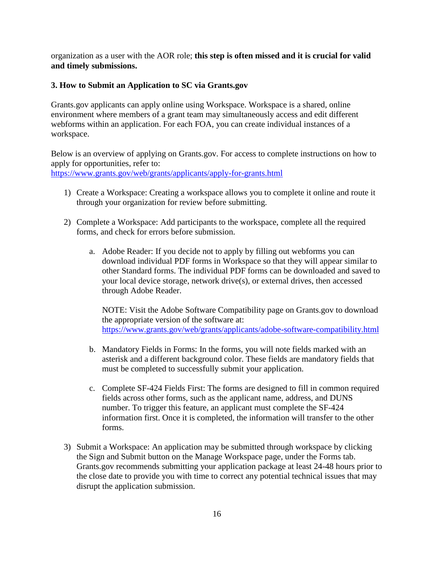organization as a user with the AOR role; **this step is often missed and it is crucial for valid and timely submissions.**

#### **3. How to Submit an Application to SC via Grants.gov**

Grants.gov applicants can apply online using Workspace. Workspace is a shared, online environment where members of a grant team may simultaneously access and edit different webforms within an application. For each FOA, you can create individual instances of a workspace.

Below is an overview of applying on Grants.gov. For access to complete instructions on how to apply for opportunities, refer to: <https://www.grants.gov/web/grants/applicants/apply-for-grants.html>

- 1) Create a Workspace: Creating a workspace allows you to complete it online and route it through your organization for review before submitting.
- 2) Complete a Workspace: Add participants to the workspace, complete all the required forms, and check for errors before submission.
	- a. Adobe Reader: If you decide not to apply by filling out webforms you can download individual PDF forms in Workspace so that they will appear similar to other Standard forms. The individual PDF forms can be downloaded and saved to your local device storage, network drive(s), or external drives, then accessed through Adobe Reader.

NOTE: Visit the Adobe Software Compatibility page on Grants.gov to download the appropriate version of the software at: <https://www.grants.gov/web/grants/applicants/adobe-software-compatibility.html>

- b. Mandatory Fields in Forms: In the forms, you will note fields marked with an asterisk and a different background color. These fields are mandatory fields that must be completed to successfully submit your application.
- c. Complete SF-424 Fields First: The forms are designed to fill in common required fields across other forms, such as the applicant name, address, and DUNS number. To trigger this feature, an applicant must complete the SF-424 information first. Once it is completed, the information will transfer to the other forms.
- 3) Submit a Workspace: An application may be submitted through workspace by clicking the Sign and Submit button on the Manage Workspace page, under the Forms tab. Grants.gov recommends submitting your application package at least 24-48 hours prior to the close date to provide you with time to correct any potential technical issues that may disrupt the application submission.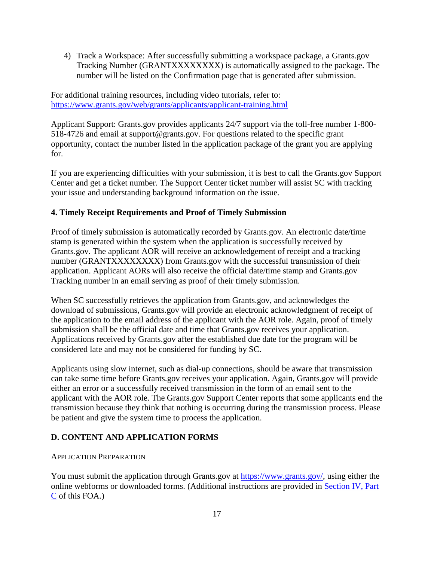4) Track a Workspace: After successfully submitting a workspace package, a Grants.gov Tracking Number (GRANTXXXXXXXX) is automatically assigned to the package. The number will be listed on the Confirmation page that is generated after submission.

For additional training resources, including video tutorials, refer to: <https://www.grants.gov/web/grants/applicants/applicant-training.html>

Applicant Support: Grants.gov provides applicants 24/7 support via the toll-free number 1-800- 518-4726 and email at support@grants.gov. For questions related to the specific grant opportunity, contact the number listed in the application package of the grant you are applying for.

If you are experiencing difficulties with your submission, it is best to call the Grants.gov Support Center and get a ticket number. The Support Center ticket number will assist SC with tracking your issue and understanding background information on the issue.

### **4. Timely Receipt Requirements and Proof of Timely Submission**

Proof of timely submission is automatically recorded by Grants.gov. An electronic date/time stamp is generated within the system when the application is successfully received by Grants.gov. The applicant AOR will receive an acknowledgement of receipt and a tracking number (GRANTXXXXXXXX) from Grants.gov with the successful transmission of their application. Applicant AORs will also receive the official date/time stamp and Grants.gov Tracking number in an email serving as proof of their timely submission.

When SC successfully retrieves the application from Grants.gov, and acknowledges the download of submissions, Grants.gov will provide an electronic acknowledgment of receipt of the application to the email address of the applicant with the AOR role. Again, proof of timely submission shall be the official date and time that Grants.gov receives your application. Applications received by Grants.gov after the established due date for the program will be considered late and may not be considered for funding by SC.

Applicants using slow internet, such as dial-up connections, should be aware that transmission can take some time before Grants.gov receives your application. Again, Grants.gov will provide either an error or a successfully received transmission in the form of an email sent to the applicant with the AOR role. The Grants.gov Support Center reports that some applicants end the transmission because they think that nothing is occurring during the transmission process. Please be patient and give the system time to process the application.

### <span id="page-22-0"></span>**D. CONTENT AND APPLICATION FORMS**

### APPLICATION PREPARATION

You must submit the application through Grants.gov at [https://www.grants.gov/,](https://www.grants.gov/) using either the online webforms or downloaded forms. (Additional instructions are provided in [Section](#page-19-0) IV, Part [C](#page-19-0) of this FOA.)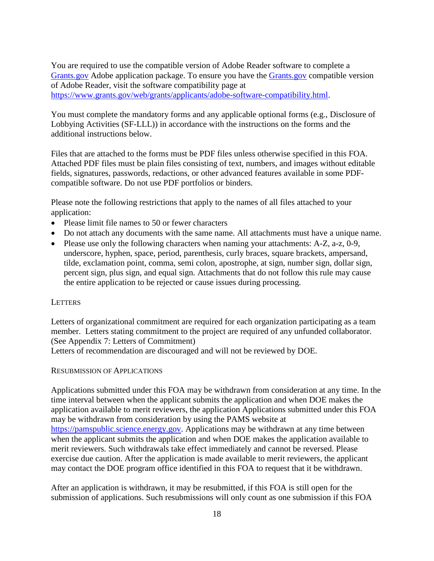You are required to use the compatible version of Adobe Reader software to complete a [Grants.gov](http://www.grants.gov/) Adobe application package. To ensure you have the [Grants.gov](http://www.grants.gov/) compatible version of Adobe Reader, visit the software compatibility page at [https://www.grants.gov/web/grants/applicants/adobe-software-compatibility.html.](http://www.grants.gov/web/grants/applicants/adobe-software-compatibility.html)

You must complete the mandatory forms and any applicable optional forms (e.g., Disclosure of Lobbying Activities (SF-LLL)) in accordance with the instructions on the forms and the additional instructions below.

Files that are attached to the forms must be PDF files unless otherwise specified in this FOA. Attached PDF files must be plain files consisting of text, numbers, and images without editable fields, signatures, passwords, redactions, or other advanced features available in some PDFcompatible software. Do not use PDF portfolios or binders.

Please note the following restrictions that apply to the names of all files attached to your application:

- Please limit file names to 50 or fewer characters
- Do not attach any documents with the same name. All attachments must have a unique name.
- Please use only the following characters when naming your attachments: A-Z, a-z, 0-9, underscore, hyphen, space, period, parenthesis, curly braces, square brackets, ampersand, tilde, exclamation point, comma, semi colon, apostrophe, at sign, number sign, dollar sign, percent sign, plus sign, and equal sign. Attachments that do not follow this rule may cause the entire application to be rejected or cause issues during processing.

#### **LETTERS**

Letters of organizational commitment are required for each organization participating as a team member. Letters stating commitment to the project are required of any unfunded collaborator. (See Appendix 7: Letters of Commitment) Letters of recommendation are discouraged and will not be reviewed by DOE.

#### RESUBMISSION OF APPLICATIONS

Applications submitted under this FOA may be withdrawn from consideration at any time. In the time interval between when the applicant submits the application and when DOE makes the application available to merit reviewers, the application Applications submitted under this FOA may be withdrawn from consideration by using the PAMS website at [https://pamspublic.science.energy.gov.](https://pamspublic.science.energy.gov/) Applications may be withdrawn at any time between when the applicant submits the application and when DOE makes the application available to merit reviewers. Such withdrawals take effect immediately and cannot be reversed. Please exercise due caution. After the application is made available to merit reviewers, the applicant may contact the DOE program office identified in this FOA to request that it be withdrawn.

After an application is withdrawn, it may be resubmitted, if this FOA is still open for the submission of applications. Such resubmissions will only count as one submission if this FOA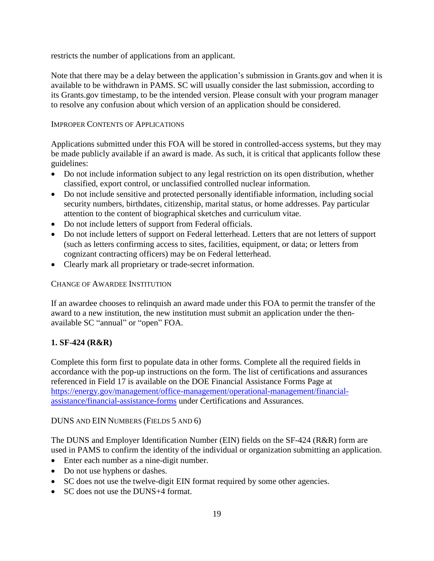restricts the number of applications from an applicant.

Note that there may be a delay between the application's submission in Grants.gov and when it is available to be withdrawn in PAMS. SC will usually consider the last submission, according to its Grants.gov timestamp, to be the intended version. Please consult with your program manager to resolve any confusion about which version of an application should be considered.

### IMPROPER CONTENTS OF APPLICATIONS

Applications submitted under this FOA will be stored in controlled-access systems, but they may be made publicly available if an award is made. As such, it is critical that applicants follow these guidelines:

- Do not include information subject to any legal restriction on its open distribution, whether classified, export control, or unclassified controlled nuclear information.
- Do not include sensitive and protected personally identifiable information, including social security numbers, birthdates, citizenship, marital status, or home addresses. Pay particular attention to the content of biographical sketches and curriculum vitae.
- Do not include letters of support from Federal officials.
- Do not include letters of support on Federal letterhead. Letters that are not letters of support (such as letters confirming access to sites, facilities, equipment, or data; or letters from cognizant contracting officers) may be on Federal letterhead.
- Clearly mark all proprietary or trade-secret information.

### CHANGE OF AWARDEE INSTITUTION

If an awardee chooses to relinquish an award made under this FOA to permit the transfer of the award to a new institution, the new institution must submit an application under the thenavailable SC "annual" or "open" FOA.

### **1. SF-424 (R&R)**

Complete this form first to populate data in other forms. Complete all the required fields in accordance with the pop-up instructions on the form. The list of certifications and assurances referenced in Field 17 is available on the DOE Financial Assistance Forms Page at [https://energy.gov/management/office-management/operational-management/financial](http://energy.gov/management/office-management/operational-management/financial-assistance/financial-assistance-forms)[assistance/financial-assistance-forms](http://energy.gov/management/office-management/operational-management/financial-assistance/financial-assistance-forms) under Certifications and Assurances.

### DUNS AND EIN NUMBERS (FIELDS 5 AND 6)

The DUNS and Employer Identification Number (EIN) fields on the SF-424 (R&R) form are used in PAMS to confirm the identity of the individual or organization submitting an application.

- Enter each number as a nine-digit number.
- Do not use hyphens or dashes.
- SC does not use the twelve-digit EIN format required by some other agencies.
- SC does not use the DUNS+4 format.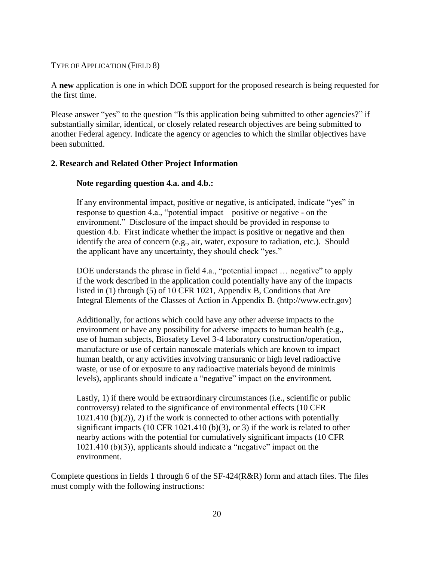#### TYPE OF APPLICATION (FIELD 8)

A **new** application is one in which DOE support for the proposed research is being requested for the first time.

Please answer "yes" to the question "Is this application being submitted to other agencies?" if substantially similar, identical, or closely related research objectives are being submitted to another Federal agency. Indicate the agency or agencies to which the similar objectives have been submitted.

#### **2. Research and Related Other Project Information**

#### **Note regarding question 4.a. and 4.b.:**

If any environmental impact, positive or negative, is anticipated, indicate "yes" in response to question 4.a., "potential impact – positive or negative - on the environment." Disclosure of the impact should be provided in response to question 4.b. First indicate whether the impact is positive or negative and then identify the area of concern (e.g., air, water, exposure to radiation, etc.). Should the applicant have any uncertainty, they should check "yes."

DOE understands the phrase in field 4.a., "potential impact ... negative" to apply if the work described in the application could potentially have any of the impacts listed in (1) through (5) of 10 CFR 1021, Appendix B, Conditions that Are Integral Elements of the Classes of Action in Appendix B. (http://www.ecfr.gov)

Additionally, for actions which could have any other adverse impacts to the environment or have any possibility for adverse impacts to human health (e.g., use of human subjects, Biosafety Level 3-4 laboratory construction/operation, manufacture or use of certain nanoscale materials which are known to impact human health, or any activities involving transuranic or high level radioactive waste, or use of or exposure to any radioactive materials beyond de minimis levels), applicants should indicate a "negative" impact on the environment.

Lastly, 1) if there would be extraordinary circumstances (i.e., scientific or public controversy) related to the significance of environmental effects (10 CFR  $1021.410$  (b)(2)), 2) if the work is connected to other actions with potentially significant impacts (10 CFR 1021.410 (b)(3), or 3) if the work is related to other nearby actions with the potential for cumulatively significant impacts (10 CFR 1021.410 (b)(3)), applicants should indicate a "negative" impact on the environment.

Complete questions in fields 1 through 6 of the SF-424(R&R) form and attach files. The files must comply with the following instructions: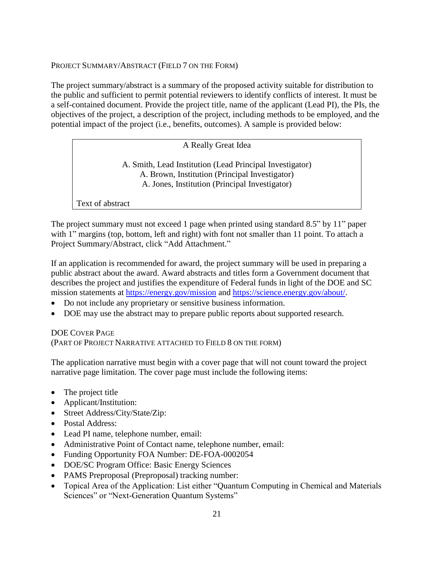#### PROJECT SUMMARY/ABSTRACT (FIELD 7 ON THE FORM)

The project summary/abstract is a summary of the proposed activity suitable for distribution to the public and sufficient to permit potential reviewers to identify conflicts of interest. It must be a self-contained document. Provide the project title, name of the applicant (Lead PI), the PIs, the objectives of the project, a description of the project, including methods to be employed, and the potential impact of the project (i.e., benefits, outcomes). A sample is provided below:

### A Really Great Idea

A. Smith, Lead Institution (Lead Principal Investigator) A. Brown, Institution (Principal Investigator) A. Jones, Institution (Principal Investigator)

Text of abstract

The project summary must not exceed 1 page when printed using standard 8.5" by 11" paper with 1" margins (top, bottom, left and right) with font not smaller than 11 point. To attach a Project Summary/Abstract, click "Add Attachment."

If an application is recommended for award, the project summary will be used in preparing a public abstract about the award. Award abstracts and titles form a Government document that describes the project and justifies the expenditure of Federal funds in light of the DOE and SC mission statements at <https://energy.gov/mission> and [https://science.energy.gov/about/.](https://science.energy.gov/about/)

- Do not include any proprietary or sensitive business information.
- DOE may use the abstract may to prepare public reports about supported research.

### DOE COVER PAGE

(PART OF PROJECT NARRATIVE ATTACHED TO FIELD 8 ON THE FORM)

The application narrative must begin with a cover page that will not count toward the project narrative page limitation. The cover page must include the following items:

- The project title
- Applicant/Institution:
- Street Address/City/State/Zip:
- Postal Address:
- Lead PI name, telephone number, email:
- Administrative Point of Contact name, telephone number, email:
- Funding Opportunity FOA Number: DE-FOA-0002054
- DOE/SC Program Office: Basic Energy Sciences
- PAMS Preproposal (Preproposal) tracking number:
- Topical Area of the Application: List either "Quantum Computing in Chemical and Materials Sciences" or "Next-Generation Quantum Systems"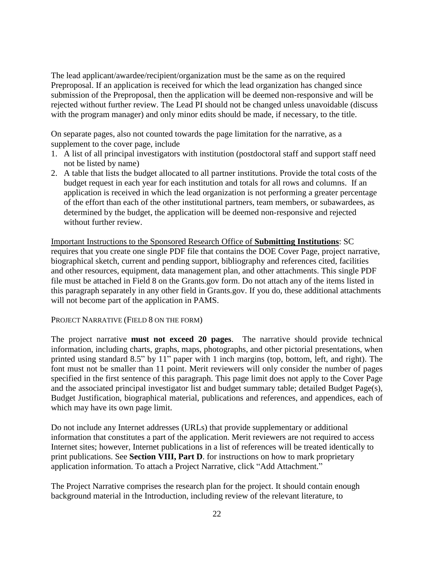The lead applicant/awardee/recipient/organization must be the same as on the required Preproposal. If an application is received for which the lead organization has changed since submission of the Preproposal, then the application will be deemed non-responsive and will be rejected without further review. The Lead PI should not be changed unless unavoidable (discuss with the program manager) and only minor edits should be made, if necessary, to the title.

On separate pages, also not counted towards the page limitation for the narrative, as a supplement to the cover page, include

- 1. A list of all principal investigators with institution (postdoctoral staff and support staff need not be listed by name)
- 2. A table that lists the budget allocated to all partner institutions. Provide the total costs of the budget request in each year for each institution and totals for all rows and columns. If an application is received in which the lead organization is not performing a greater percentage of the effort than each of the other institutional partners, team members, or subawardees, as determined by the budget, the application will be deemed non-responsive and rejected without further review.

Important Instructions to the Sponsored Research Office of **Submitting Institutions**: SC requires that you create one single PDF file that contains the DOE Cover Page, project narrative, biographical sketch, current and pending support, bibliography and references cited, facilities and other resources, equipment, data management plan, and other attachments. This single PDF file must be attached in Field 8 on the Grants.gov form. Do not attach any of the items listed in this paragraph separately in any other field in Grants.gov. If you do, these additional attachments will not become part of the application in PAMS.

#### PROJECT NARRATIVE (FIELD 8 ON THE FORM)

The project narrative **must not exceed 20 pages**. The narrative should provide technical information, including charts, graphs, maps, photographs, and other pictorial presentations, when printed using standard 8.5" by 11" paper with 1 inch margins (top, bottom, left, and right). The font must not be smaller than 11 point. Merit reviewers will only consider the number of pages specified in the first sentence of this paragraph. This page limit does not apply to the Cover Page and the associated principal investigator list and budget summary table; detailed Budget Page(s), Budget Justification, biographical material, publications and references, and appendices, each of which may have its own page limit.

Do not include any Internet addresses (URLs) that provide supplementary or additional information that constitutes a part of the application. Merit reviewers are not required to access Internet sites; however, Internet publications in a list of references will be treated identically to print publications. See **Section VIII, Part D**. for instructions on how to mark proprietary application information. To attach a Project Narrative, click "Add Attachment."

The Project Narrative comprises the research plan for the project. It should contain enough background material in the Introduction, including review of the relevant literature, to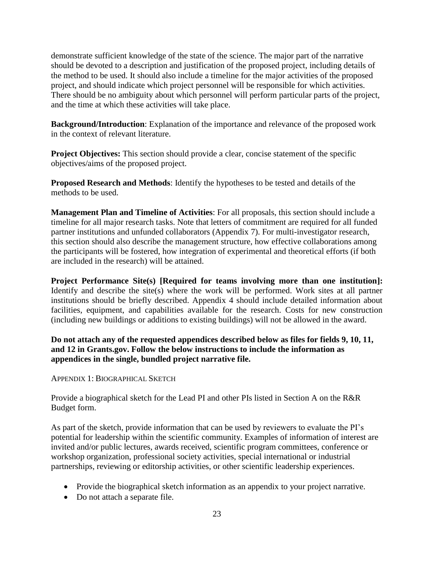demonstrate sufficient knowledge of the state of the science. The major part of the narrative should be devoted to a description and justification of the proposed project, including details of the method to be used. It should also include a timeline for the major activities of the proposed project, and should indicate which project personnel will be responsible for which activities. There should be no ambiguity about which personnel will perform particular parts of the project, and the time at which these activities will take place.

**Background/Introduction**: Explanation of the importance and relevance of the proposed work in the context of relevant literature.

**Project Objectives:** This section should provide a clear, concise statement of the specific objectives/aims of the proposed project.

**Proposed Research and Methods**: Identify the hypotheses to be tested and details of the methods to be used.

**Management Plan and Timeline of Activities**: For all proposals, this section should include a timeline for all major research tasks. Note that letters of commitment are required for all funded partner institutions and unfunded collaborators (Appendix 7). For multi-investigator research, this section should also describe the management structure, how effective collaborations among the participants will be fostered, how integration of experimental and theoretical efforts (if both are included in the research) will be attained.

**Project Performance Site(s) [Required for teams involving more than one institution]:** Identify and describe the site(s) where the work will be performed. Work sites at all partner institutions should be briefly described. Appendix 4 should include detailed information about facilities, equipment, and capabilities available for the research. Costs for new construction (including new buildings or additions to existing buildings) will not be allowed in the award.

**Do not attach any of the requested appendices described below as files for fields 9, 10, 11, and 12 in Grants.gov. Follow the below instructions to include the information as appendices in the single, bundled project narrative file.**

APPENDIX 1: BIOGRAPHICAL SKETCH

Provide a biographical sketch for the Lead PI and other PIs listed in Section A on the R&R Budget form.

As part of the sketch, provide information that can be used by reviewers to evaluate the PI's potential for leadership within the scientific community. Examples of information of interest are invited and/or public lectures, awards received, scientific program committees, conference or workshop organization, professional society activities, special international or industrial partnerships, reviewing or editorship activities, or other scientific leadership experiences.

- Provide the biographical sketch information as an appendix to your project narrative.
- Do not attach a separate file.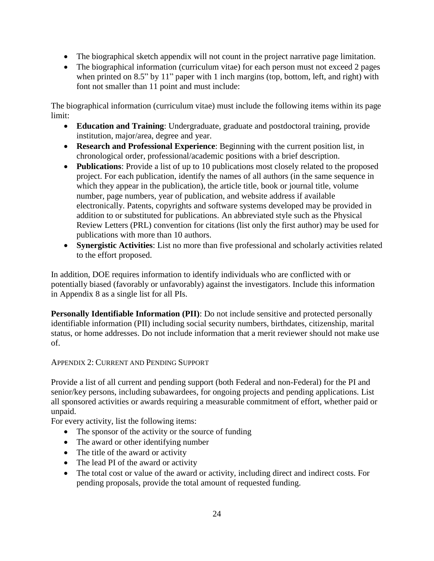- The biographical sketch appendix will not count in the project narrative page limitation.
- The biographical information (curriculum vitae) for each person must not exceed 2 pages when printed on 8.5" by 11" paper with 1 inch margins (top, bottom, left, and right) with font not smaller than 11 point and must include:

The biographical information (curriculum vitae) must include the following items within its page limit:

- **Education and Training**: Undergraduate, graduate and postdoctoral training, provide institution, major/area, degree and year.
- **Research and Professional Experience**: Beginning with the current position list, in chronological order, professional/academic positions with a brief description.
- **Publications**: Provide a list of up to 10 publications most closely related to the proposed project. For each publication, identify the names of all authors (in the same sequence in which they appear in the publication), the article title, book or journal title, volume number, page numbers, year of publication, and website address if available electronically. Patents, copyrights and software systems developed may be provided in addition to or substituted for publications. An abbreviated style such as the Physical Review Letters (PRL) convention for citations (list only the first author) may be used for publications with more than 10 authors.
- **Synergistic Activities**: List no more than five professional and scholarly activities related to the effort proposed.

In addition, DOE requires information to identify individuals who are conflicted with or potentially biased (favorably or unfavorably) against the investigators. Include this information in Appendix 8 as a single list for all PIs.

**Personally Identifiable Information (PII)**: Do not include sensitive and protected personally identifiable information (PII) including social security numbers, birthdates, citizenship, marital status, or home addresses. Do not include information that a merit reviewer should not make use of.

### APPENDIX 2: CURRENT AND PENDING SUPPORT

Provide a list of all current and pending support (both Federal and non-Federal) for the PI and senior/key persons, including subawardees, for ongoing projects and pending applications. List all sponsored activities or awards requiring a measurable commitment of effort, whether paid or unpaid.

For every activity, list the following items:

- The sponsor of the activity or the source of funding
- The award or other identifying number
- The title of the award or activity
- The lead PI of the award or activity
- The total cost or value of the award or activity, including direct and indirect costs. For pending proposals, provide the total amount of requested funding.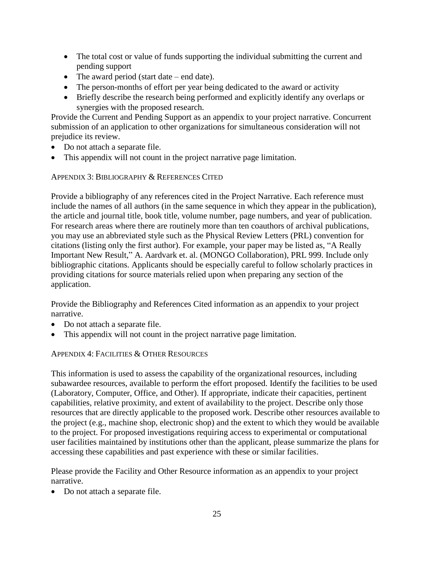- The total cost or value of funds supporting the individual submitting the current and pending support
- The award period (start date end date).
- The person-months of effort per year being dedicated to the award or activity
- Briefly describe the research being performed and explicitly identify any overlaps or synergies with the proposed research.

Provide the Current and Pending Support as an appendix to your project narrative. Concurrent submission of an application to other organizations for simultaneous consideration will not prejudice its review.

- Do not attach a separate file.
- This appendix will not count in the project narrative page limitation.

APPENDIX 3: BIBLIOGRAPHY & REFERENCES CITED

Provide a bibliography of any references cited in the Project Narrative. Each reference must include the names of all authors (in the same sequence in which they appear in the publication), the article and journal title, book title, volume number, page numbers, and year of publication. For research areas where there are routinely more than ten coauthors of archival publications, you may use an abbreviated style such as the Physical Review Letters (PRL) convention for citations (listing only the first author). For example, your paper may be listed as, "A Really Important New Result," A. Aardvark et. al. (MONGO Collaboration), PRL 999. Include only bibliographic citations. Applicants should be especially careful to follow scholarly practices in providing citations for source materials relied upon when preparing any section of the application.

Provide the Bibliography and References Cited information as an appendix to your project narrative.

- Do not attach a separate file.
- This appendix will not count in the project narrative page limitation.

### APPENDIX 4: FACILITIES & OTHER RESOURCES

This information is used to assess the capability of the organizational resources, including subawardee resources, available to perform the effort proposed. Identify the facilities to be used (Laboratory, Computer, Office, and Other). If appropriate, indicate their capacities, pertinent capabilities, relative proximity, and extent of availability to the project. Describe only those resources that are directly applicable to the proposed work. Describe other resources available to the project (e.g., machine shop, electronic shop) and the extent to which they would be available to the project. For proposed investigations requiring access to experimental or computational user facilities maintained by institutions other than the applicant, please summarize the plans for accessing these capabilities and past experience with these or similar facilities.

Please provide the Facility and Other Resource information as an appendix to your project narrative.

• Do not attach a separate file.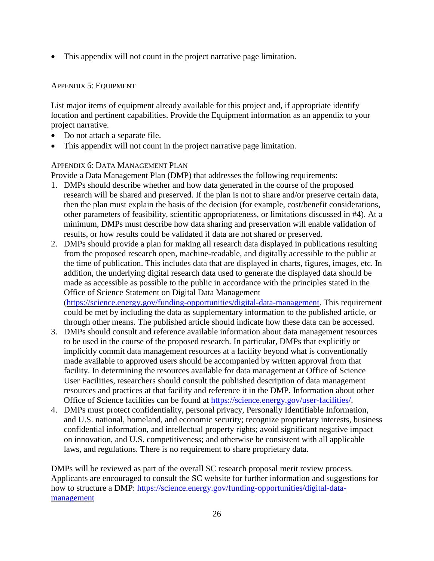This appendix will not count in the project narrative page limitation.

### APPENDIX 5: EQUIPMENT

List major items of equipment already available for this project and, if appropriate identify location and pertinent capabilities. Provide the Equipment information as an appendix to your project narrative.

- Do not attach a separate file.
- This appendix will not count in the project narrative page limitation.

#### APPENDIX 6: DATA MANAGEMENT PLAN

Provide a Data Management Plan (DMP) that addresses the following requirements:

- 1. DMPs should describe whether and how data generated in the course of the proposed research will be [shared](https://cms1.sc.osti.gov/funding-opportunities/digital-data-management/#Sharing) and [preserved.](https://cms1.sc.osti.gov/funding-opportunities/digital-data-management/#Preservation) If the plan is not to share and/or preserve certain data, then the plan must explain the basis of the decision (for example, cost/benefit considerations, other parameters of feasibility, scientific appropriateness, or limitations discussed in #4). At a minimum, DMPs must describe how data sharing and preservation will enable [validation](https://cms1.sc.osti.gov/funding-opportunities/digital-data-management/#Validate) of results, or how results could be validated if data are not shared or preserved.
- 2. DMPs should provide a plan for making all research data displayed in publications resulting from the proposed research open, machine-readable, and digitally accessible to the public at the time of publication. This includes data that are displayed in charts, figures, images, etc. In addition, the underlying digital research data used to generate the displayed data should be made as accessible as possible to the public in accordance with the principles stated in the Office of Science Statement on Digital Data Management [\(https://science.energy.gov/funding-opportunities/digital-data-management.](https://science.energy.gov/funding-opportunities/digital-data-management) This requirement

could be met by including the data as supplementary information to the published article, or through other means. The published article should indicate how these data can be accessed.

- 3. DMPs should consult and reference available information about data management resources to be used in the course of the proposed research. In particular, DMPs that explicitly or implicitly commit data management resources at a facility beyond what is conventionally made available to approved users should be accompanied by written approval from that facility. In determining the resources available for data management at Office of Science User Facilities, researchers should consult the published description of data management resources and practices at that facility and reference it in the DMP. Information about other Office of Science facilities can be found at [https://science.energy.gov/user-facilities/.](https://science.energy.gov/user-facilities/)
- 4. DMPs must protect confidentiality, personal privacy, Personally Identifiable [Information,](https://cms1.sc.osti.gov/funding-opportunities/digital-data-management/faqs/#HSRFAQ) and U.S. national, homeland, and economic security; recognize proprietary interests, business confidential information, and intellectual property rights; avoid significant negative impact on innovation, and U.S. competitiveness; and otherwise be consistent with all applicable laws, and regulations. There is no requirement to share proprietary data.

DMPs will be reviewed as part of the overall SC research proposal merit review process. Applicants are encouraged to consult the SC website for further information and suggestions for how to structure a DMP: [https://science.energy.gov/funding-opportunities/digital-data](https://science.energy.gov/funding-opportunities/digital-data-management)[management](https://science.energy.gov/funding-opportunities/digital-data-management)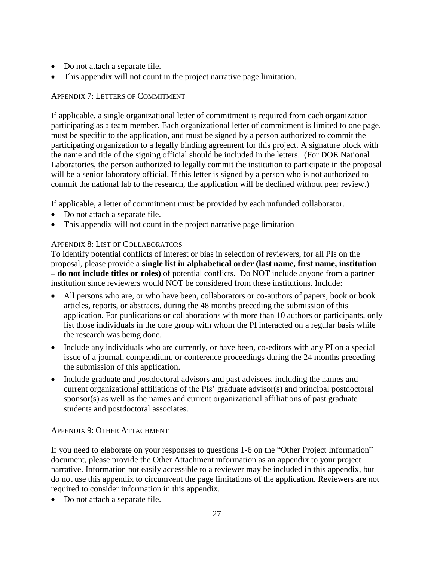- Do not attach a separate file.
- This appendix will not count in the project narrative page limitation.

### APPENDIX 7: LETTERS OF COMMITMENT

If applicable, a single organizational letter of commitment is required from each organization participating as a team member. Each organizational letter of commitment is limited to one page, must be specific to the application, and must be signed by a person authorized to commit the participating organization to a legally binding agreement for this project. A signature block with the name and title of the signing official should be included in the letters. (For DOE National Laboratories, the person authorized to legally commit the institution to participate in the proposal will be a senior laboratory official. If this letter is signed by a person who is not authorized to commit the national lab to the research, the application will be declined without peer review.)

If applicable, a letter of commitment must be provided by each unfunded collaborator.

- Do not attach a separate file.
- This appendix will not count in the project narrative page limitation

### APPENDIX 8: LIST OF COLLABORATORS

To identify potential conflicts of interest or bias in selection of reviewers, for all PIs on the proposal, please provide a **single list in alphabetical order (last name, first name, institution – do not include titles or roles)** of potential conflicts. Do NOT include anyone from a partner institution since reviewers would NOT be considered from these institutions. Include:

- All persons who are, or who have been, collaborators or co-authors of papers, book or book articles, reports, or abstracts, during the 48 months preceding the submission of this application. For publications or collaborations with more than 10 authors or participants, only list those individuals in the core group with whom the PI interacted on a regular basis while the research was being done.
- Include any individuals who are currently, or have been, co-editors with any PI on a special issue of a journal, compendium, or conference proceedings during the 24 months preceding the submission of this application.
- Include graduate and postdoctoral advisors and past advisees, including the names and current organizational affiliations of the PIs' graduate advisor(s) and principal postdoctoral sponsor(s) as well as the names and current organizational affiliations of past graduate students and postdoctoral associates.

### APPENDIX 9: OTHER ATTACHMENT

If you need to elaborate on your responses to questions 1-6 on the "Other Project Information" document, please provide the Other Attachment information as an appendix to your project narrative. Information not easily accessible to a reviewer may be included in this appendix, but do not use this appendix to circumvent the page limitations of the application. Reviewers are not required to consider information in this appendix.

• Do not attach a separate file.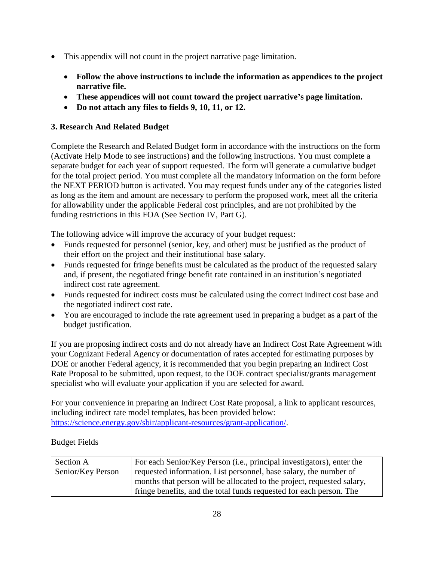- This appendix will not count in the project narrative page limitation.
	- **Follow the above instructions to include the information as appendices to the project narrative file.**
	- **These appendices will not count toward the project narrative's page limitation.**
	- **Do not attach any files to fields 9, 10, 11, or 12.**

# **3. Research And Related Budget**

Complete the Research and Related Budget form in accordance with the instructions on the form (Activate Help Mode to see instructions) and the following instructions. You must complete a separate budget for each year of support requested. The form will generate a cumulative budget for the total project period. You must complete all the mandatory information on the form before the NEXT PERIOD button is activated. You may request funds under any of the categories listed as long as the item and amount are necessary to perform the proposed work, meet all the criteria for allowability under the applicable Federal cost principles, and are not prohibited by the funding restrictions in this FOA (See Section IV, Part G).

The following advice will improve the accuracy of your budget request:

- Funds requested for personnel (senior, key, and other) must be justified as the product of their effort on the project and their institutional base salary.
- Funds requested for fringe benefits must be calculated as the product of the requested salary and, if present, the negotiated fringe benefit rate contained in an institution's negotiated indirect cost rate agreement.
- Funds requested for indirect costs must be calculated using the correct indirect cost base and the negotiated indirect cost rate.
- You are encouraged to include the rate agreement used in preparing a budget as a part of the budget justification.

If you are proposing indirect costs and do not already have an Indirect Cost Rate Agreement with your Cognizant Federal Agency or documentation of rates accepted for estimating purposes by DOE or another Federal agency, it is recommended that you begin preparing an Indirect Cost Rate Proposal to be submitted, upon request, to the DOE contract specialist/grants management specialist who will evaluate your application if you are selected for award.

For your convenience in preparing an Indirect Cost Rate proposal, a link to applicant resources, including indirect rate model templates, has been provided below: [https://science.energy.gov/sbir/applicant-resources/grant-application/.](https://science.energy.gov/sbir/applicant-resources/grant-application/)

# Budget Fields

| Section A         | For each Senior/Key Person (i.e., principal investigators), enter the  |
|-------------------|------------------------------------------------------------------------|
| Senior/Key Person | requested information. List personnel, base salary, the number of      |
|                   | months that person will be allocated to the project, requested salary, |
|                   | fringe benefits, and the total funds requested for each person. The    |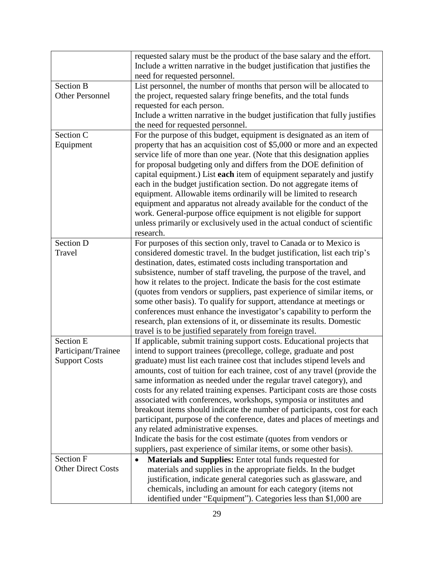|                           | requested salary must be the product of the base salary and the effort.      |
|---------------------------|------------------------------------------------------------------------------|
|                           | Include a written narrative in the budget justification that justifies the   |
|                           | need for requested personnel.                                                |
| <b>Section B</b>          | List personnel, the number of months that person will be allocated to        |
| <b>Other Personnel</b>    | the project, requested salary fringe benefits, and the total funds           |
|                           | requested for each person.                                                   |
|                           | Include a written narrative in the budget justification that fully justifies |
|                           | the need for requested personnel.                                            |
| Section C                 | For the purpose of this budget, equipment is designated as an item of        |
| Equipment                 | property that has an acquisition cost of \$5,000 or more and an expected     |
|                           | service life of more than one year. (Note that this designation applies      |
|                           | for proposal budgeting only and differs from the DOE definition of           |
|                           | capital equipment.) List each item of equipment separately and justify       |
|                           | each in the budget justification section. Do not aggregate items of          |
|                           | equipment. Allowable items ordinarily will be limited to research            |
|                           | equipment and apparatus not already available for the conduct of the         |
|                           | work. General-purpose office equipment is not eligible for support           |
|                           | unless primarily or exclusively used in the actual conduct of scientific     |
|                           | research.                                                                    |
| <b>Section D</b>          | For purposes of this section only, travel to Canada or to Mexico is          |
| Travel                    | considered domestic travel. In the budget justification, list each trip's    |
|                           | destination, dates, estimated costs including transportation and             |
|                           | subsistence, number of staff traveling, the purpose of the travel, and       |
|                           | how it relates to the project. Indicate the basis for the cost estimate      |
|                           | (quotes from vendors or suppliers, past experience of similar items, or      |
|                           | some other basis). To qualify for support, attendance at meetings or         |
|                           | conferences must enhance the investigator's capability to perform the        |
|                           | research, plan extensions of it, or disseminate its results. Domestic        |
|                           | travel is to be justified separately from foreign travel.                    |
| <b>Section E</b>          | If applicable, submit training support costs. Educational projects that      |
| Participant/Trainee       | intend to support trainees (precollege, college, graduate and post           |
| <b>Support Costs</b>      | graduate) must list each trainee cost that includes stipend levels and       |
|                           | amounts, cost of tuition for each trainee, cost of any travel (provide the   |
|                           | same information as needed under the regular travel category), and           |
|                           | costs for any related training expenses. Participant costs are those costs   |
|                           | associated with conferences, workshops, symposia or institutes and           |
|                           | breakout items should indicate the number of participants, cost for each     |
|                           | participant, purpose of the conference, dates and places of meetings and     |
|                           | any related administrative expenses.                                         |
|                           | Indicate the basis for the cost estimate (quotes from vendors or             |
|                           | suppliers, past experience of similar items, or some other basis).           |
| Section F                 | <b>Materials and Supplies:</b> Enter total funds requested for               |
| <b>Other Direct Costs</b> | materials and supplies in the appropriate fields. In the budget              |
|                           | justification, indicate general categories such as glassware, and            |
|                           | chemicals, including an amount for each category (items not                  |
|                           |                                                                              |
|                           | identified under "Equipment"). Categories less than \$1,000 are              |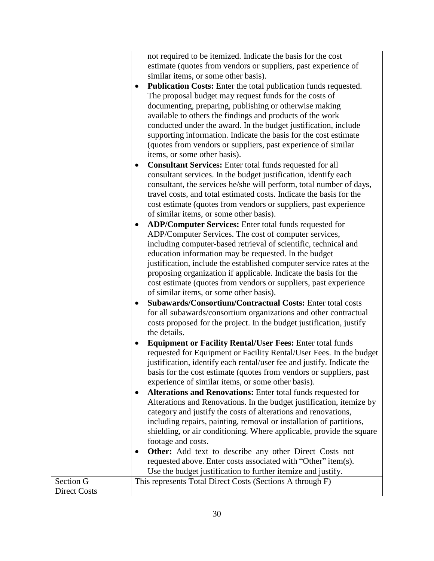|                     | not required to be itemized. Indicate the basis for the cost<br>estimate (quotes from vendors or suppliers, past experience of<br>similar items, or some other basis).<br><b>Publication Costs:</b> Enter the total publication funds requested.<br>The proposal budget may request funds for the costs of<br>documenting, preparing, publishing or otherwise making<br>available to others the findings and products of the work<br>conducted under the award. In the budget justification, include<br>supporting information. Indicate the basis for the cost estimate<br>(quotes from vendors or suppliers, past experience of similar<br>items, or some other basis).<br>Consultant Services: Enter total funds requested for all<br>consultant services. In the budget justification, identify each<br>consultant, the services he/she will perform, total number of days,<br>travel costs, and total estimated costs. Indicate the basis for the<br>cost estimate (quotes from vendors or suppliers, past experience<br>of similar items, or some other basis).<br>ADP/Computer Services: Enter total funds requested for<br>$\bullet$<br>ADP/Computer Services. The cost of computer services,<br>including computer-based retrieval of scientific, technical and<br>education information may be requested. In the budget<br>justification, include the established computer service rates at the<br>proposing organization if applicable. Indicate the basis for the<br>cost estimate (quotes from vendors or suppliers, past experience<br>of similar items, or some other basis).<br>Subawards/Consortium/Contractual Costs: Enter total costs<br>for all subawards/consortium organizations and other contractual<br>costs proposed for the project. In the budget justification, justify<br>the details.<br><b>Equipment or Facility Rental/User Fees: Enter total funds</b><br>$\bullet$<br>requested for Equipment or Facility Rental/User Fees. In the budget<br>justification, identify each rental/user fee and justify. Indicate the<br>basis for the cost estimate (quotes from vendors or suppliers, past<br>experience of similar items, or some other basis).<br>Alterations and Renovations: Enter total funds requested for<br>Alterations and Renovations. In the budget justification, itemize by<br>category and justify the costs of alterations and renovations,<br>including repairs, painting, removal or installation of partitions,<br>shielding, or air conditioning. Where applicable, provide the square<br>footage and costs.<br><b>Other:</b> Add text to describe any other Direct Costs not<br>requested above. Enter costs associated with "Other" item(s).<br>Use the budget justification to further itemize and justify. |
|---------------------|-----------------------------------------------------------------------------------------------------------------------------------------------------------------------------------------------------------------------------------------------------------------------------------------------------------------------------------------------------------------------------------------------------------------------------------------------------------------------------------------------------------------------------------------------------------------------------------------------------------------------------------------------------------------------------------------------------------------------------------------------------------------------------------------------------------------------------------------------------------------------------------------------------------------------------------------------------------------------------------------------------------------------------------------------------------------------------------------------------------------------------------------------------------------------------------------------------------------------------------------------------------------------------------------------------------------------------------------------------------------------------------------------------------------------------------------------------------------------------------------------------------------------------------------------------------------------------------------------------------------------------------------------------------------------------------------------------------------------------------------------------------------------------------------------------------------------------------------------------------------------------------------------------------------------------------------------------------------------------------------------------------------------------------------------------------------------------------------------------------------------------------------------------------------------------------------------------------------------------------------------------------------------------------------------------------------------------------------------------------------------------------------------------------------------------------------------------------------------------------------------------------------------------------------------------------------------------------------------------------------------------------------------------------------------------------------------------------------------------------------------------------------------|
| Section G           | This represents Total Direct Costs (Sections A through F)                                                                                                                                                                                                                                                                                                                                                                                                                                                                                                                                                                                                                                                                                                                                                                                                                                                                                                                                                                                                                                                                                                                                                                                                                                                                                                                                                                                                                                                                                                                                                                                                                                                                                                                                                                                                                                                                                                                                                                                                                                                                                                                                                                                                                                                                                                                                                                                                                                                                                                                                                                                                                                                                                                             |
| <b>Direct Costs</b> |                                                                                                                                                                                                                                                                                                                                                                                                                                                                                                                                                                                                                                                                                                                                                                                                                                                                                                                                                                                                                                                                                                                                                                                                                                                                                                                                                                                                                                                                                                                                                                                                                                                                                                                                                                                                                                                                                                                                                                                                                                                                                                                                                                                                                                                                                                                                                                                                                                                                                                                                                                                                                                                                                                                                                                       |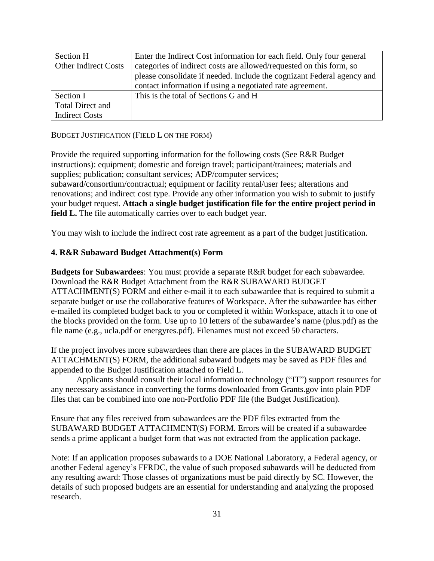| Section H                   | Enter the Indirect Cost information for each field. Only four general  |
|-----------------------------|------------------------------------------------------------------------|
| <b>Other Indirect Costs</b> | categories of indirect costs are allowed/requested on this form, so    |
|                             | please consolidate if needed. Include the cognizant Federal agency and |
|                             | contact information if using a negotiated rate agreement.              |
| Section I                   | This is the total of Sections G and H                                  |
| <b>Total Direct and</b>     |                                                                        |
| <b>Indirect Costs</b>       |                                                                        |

#### BUDGET JUSTIFICATION (FIELD L ON THE FORM)

Provide the required supporting information for the following costs (See R&R Budget instructions): equipment; domestic and foreign travel; participant/trainees; materials and supplies; publication; consultant services; ADP/computer services; subaward/consortium/contractual; equipment or facility rental/user fees; alterations and renovations; and indirect cost type. Provide any other information you wish to submit to justify your budget request. **Attach a single budget justification file for the entire project period in field L.** The file automatically carries over to each budget year.

You may wish to include the indirect cost rate agreement as a part of the budget justification.

#### **4. R&R Subaward Budget Attachment(s) Form**

**Budgets for Subawardees**: You must provide a separate R&R budget for each subawardee. Download the R&R Budget Attachment from the R&R SUBAWARD BUDGET ATTACHMENT(S) FORM and either e-mail it to each subawardee that is required to submit a separate budget or use the collaborative features of Workspace. After the subawardee has either e-mailed its completed budget back to you or completed it within Workspace, attach it to one of the blocks provided on the form. Use up to 10 letters of the subawardee's name (plus.pdf) as the file name (e.g., ucla.pdf or energyres.pdf). Filenames must not exceed 50 characters.

If the project involves more subawardees than there are places in the SUBAWARD BUDGET ATTACHMENT(S) FORM, the additional subaward budgets may be saved as PDF files and appended to the Budget Justification attached to Field L.

Applicants should consult their local information technology ("IT") support resources for any necessary assistance in converting the forms downloaded from Grants.gov into plain PDF files that can be combined into one non-Portfolio PDF file (the Budget Justification).

Ensure that any files received from subawardees are the PDF files extracted from the SUBAWARD BUDGET ATTACHMENT(S) FORM. Errors will be created if a subawardee sends a prime applicant a budget form that was not extracted from the application package.

Note: If an application proposes subawards to a DOE National Laboratory, a Federal agency, or another Federal agency's FFRDC, the value of such proposed subawards will be deducted from any resulting award: Those classes of organizations must be paid directly by SC. However, the details of such proposed budgets are an essential for understanding and analyzing the proposed research.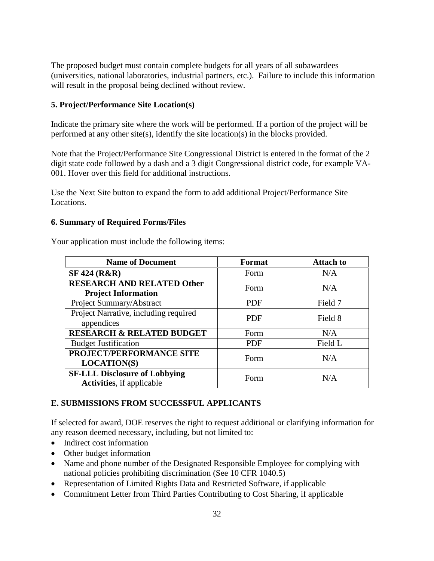The proposed budget must contain complete budgets for all years of all subawardees (universities, national laboratories, industrial partners, etc.). Failure to include this information will result in the proposal being declined without review.

### **5. Project/Performance Site Location(s)**

Indicate the primary site where the work will be performed. If a portion of the project will be performed at any other site(s), identify the site location(s) in the blocks provided.

Note that the Project/Performance Site Congressional District is entered in the format of the 2 digit state code followed by a dash and a 3 digit Congressional district code, for example VA-001. Hover over this field for additional instructions.

Use the Next Site button to expand the form to add additional Project/Performance Site Locations.

#### **6. Summary of Required Forms/Files**

Your application must include the following items:

| <b>Name of Document</b>                                                   | <b>Format</b> | <b>Attach to</b> |  |
|---------------------------------------------------------------------------|---------------|------------------|--|
| <b>SF 424 (R&amp;R)</b>                                                   | Form          | N/A              |  |
| <b>RESEARCH AND RELATED Other</b>                                         | Form          | N/A              |  |
| <b>Project Information</b>                                                |               |                  |  |
| Project Summary/Abstract                                                  | <b>PDF</b>    | Field 7          |  |
| Project Narrative, including required<br>appendices                       | <b>PDF</b>    | Field 8          |  |
| <b>RESEARCH &amp; RELATED BUDGET</b>                                      | Form          | N/A              |  |
| <b>Budget Justification</b>                                               | <b>PDF</b>    | Field L          |  |
| PROJECT/PERFORMANCE SITE<br><b>LOCATION(S)</b>                            | Form          | N/A              |  |
| <b>SF-LLL Disclosure of Lobbying</b><br><b>Activities</b> , if applicable | Form          | N/A              |  |

### <span id="page-37-0"></span>**E. SUBMISSIONS FROM SUCCESSFUL APPLICANTS**

If selected for award, DOE reserves the right to request additional or clarifying information for any reason deemed necessary, including, but not limited to:

- Indirect cost information
- Other budget information
- Name and phone number of the Designated Responsible Employee for complying with national policies prohibiting discrimination (See 10 CFR 1040.5)
- Representation of Limited Rights Data and Restricted Software, if applicable
- Commitment Letter from Third Parties Contributing to Cost Sharing, if applicable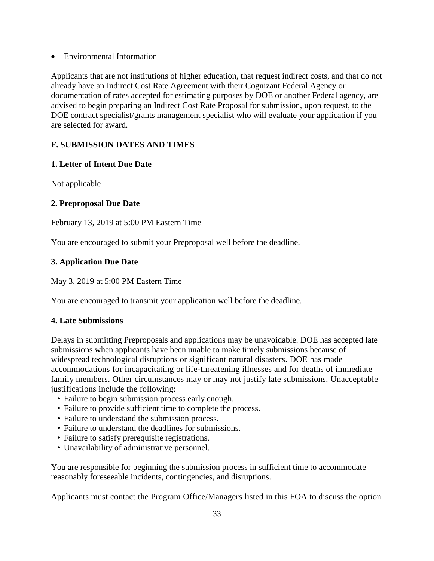Environmental Information

Applicants that are not institutions of higher education, that request indirect costs, and that do not already have an Indirect Cost Rate Agreement with their Cognizant Federal Agency or documentation of rates accepted for estimating purposes by DOE or another Federal agency, are advised to begin preparing an Indirect Cost Rate Proposal for submission, upon request, to the DOE contract specialist/grants management specialist who will evaluate your application if you are selected for award.

### <span id="page-38-0"></span>**F. SUBMISSION DATES AND TIMES**

### **1. Letter of Intent Due Date**

Not applicable

### **2. Preproposal Due Date**

February 13, 2019 at 5:00 PM Eastern Time

You are encouraged to submit your Preproposal well before the deadline.

### **3. Application Due Date**

May 3, 2019 at 5:00 PM Eastern Time

You are encouraged to transmit your application well before the deadline.

#### **4. Late Submissions**

Delays in submitting Preproposals and applications may be unavoidable. DOE has accepted late submissions when applicants have been unable to make timely submissions because of widespread technological disruptions or significant natural disasters. DOE has made accommodations for incapacitating or life-threatening illnesses and for deaths of immediate family members. Other circumstances may or may not justify late submissions. Unacceptable justifications include the following:

- Failure to begin submission process early enough.
- Failure to provide sufficient time to complete the process.
- Failure to understand the submission process.
- Failure to understand the deadlines for submissions.
- Failure to satisfy prerequisite registrations.
- Unavailability of administrative personnel.

You are responsible for beginning the submission process in sufficient time to accommodate reasonably foreseeable incidents, contingencies, and disruptions.

Applicants must contact the Program Office/Managers listed in this FOA to discuss the option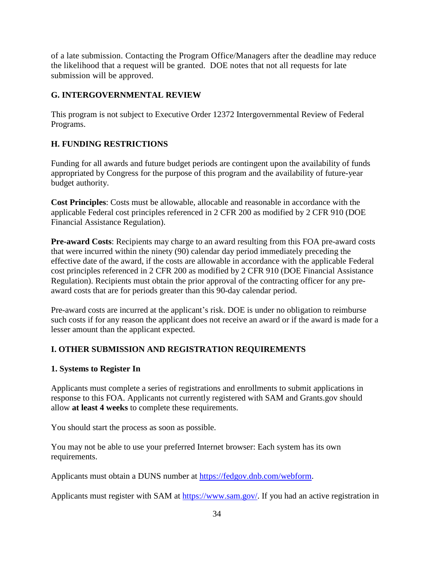of a late submission. Contacting the Program Office/Managers after the deadline may reduce the likelihood that a request will be granted. DOE notes that not all requests for late submission will be approved.

### <span id="page-39-0"></span>**G. INTERGOVERNMENTAL REVIEW**

This program is not subject to Executive Order 12372 Intergovernmental Review of Federal Programs.

# <span id="page-39-1"></span>**H. FUNDING RESTRICTIONS**

Funding for all awards and future budget periods are contingent upon the availability of funds appropriated by Congress for the purpose of this program and the availability of future-year budget authority.

**Cost Principles**: Costs must be allowable, allocable and reasonable in accordance with the applicable Federal cost principles referenced in 2 CFR 200 as modified by 2 CFR 910 (DOE Financial Assistance Regulation).

**Pre-award Costs**: Recipients may charge to an award resulting from this FOA pre-award costs that were incurred within the ninety (90) calendar day period immediately preceding the effective date of the award, if the costs are allowable in accordance with the applicable Federal cost principles referenced in 2 CFR 200 as modified by 2 CFR 910 (DOE Financial Assistance Regulation). Recipients must obtain the prior approval of the contracting officer for any preaward costs that are for periods greater than this 90-day calendar period.

Pre-award costs are incurred at the applicant's risk. DOE is under no obligation to reimburse such costs if for any reason the applicant does not receive an award or if the award is made for a lesser amount than the applicant expected.

# <span id="page-39-2"></span>**I. OTHER SUBMISSION AND REGISTRATION REQUIREMENTS**

### **1. Systems to Register In**

Applicants must complete a series of registrations and enrollments to submit applications in response to this FOA. Applicants not currently registered with SAM and Grants.gov should allow **at least 4 weeks** to complete these requirements.

You should start the process as soon as possible.

You may not be able to use your preferred Internet browser: Each system has its own requirements.

Applicants must obtain a DUNS number at [https://fedgov.dnb.com/webform.](http://fedgov.dnb.com/webform)

Applicants must register with SAM at [https://www.sam.gov/.](http://www.sam.gov/) If you had an active registration in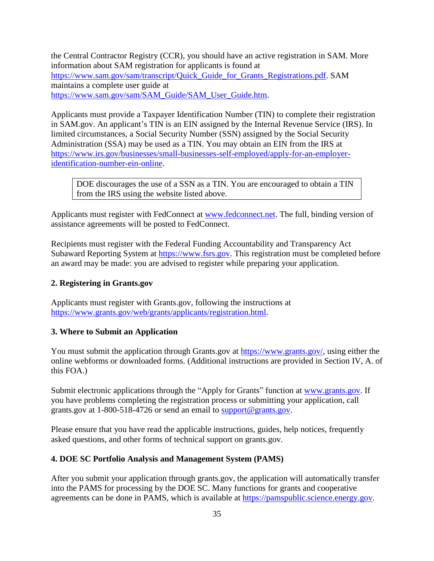the Central Contractor Registry (CCR), you should have an active registration in SAM. More information about SAM registration for applicants is found at [https://www.sam.gov/sam/transcript/Quick\\_Guide\\_for\\_Grants\\_Registrations.pdf.](https://www.sam.gov/sam/transcript/Quick_Guide_for_Grants_Registrations.pdf) SAM maintains a complete user guide at [https://www.sam.gov/sam/SAM\\_Guide/SAM\\_User\\_Guide.htm.](https://www.sam.gov/sam/SAM_Guide/SAM_User_Guide.htm)

Applicants must provide a Taxpayer Identification Number (TIN) to complete their registration in SAM.gov. An applicant's TIN is an EIN assigned by the Internal Revenue Service (IRS). In limited circumstances, a Social Security Number (SSN) assigned by the Social Security Administration (SSA) may be used as a TIN. You may obtain an EIN from the IRS at [https://www.irs.gov/businesses/small-businesses-self-employed/apply-for-an-employer](https://www.irs.gov/businesses/small-businesses-self-employed/apply-for-an-employer-identification-number-ein-online)[identification-number-ein-online.](https://www.irs.gov/businesses/small-businesses-self-employed/apply-for-an-employer-identification-number-ein-online)

DOE discourages the use of a SSN as a TIN. You are encouraged to obtain a TIN from the IRS using the website listed above.

Applicants must register with FedConnect at [www.fedconnect.net.](http://www.fedconnect.net/) The full, binding version of assistance agreements will be posted to FedConnect.

Recipients must register with the Federal Funding Accountability and Transparency Act Subaward Reporting System at [https://www.fsrs.gov.](https://www.fsrs.gov/) This registration must be completed before an award may be made: you are advised to register while preparing your application.

#### **2. Registering in Grants.gov**

Applicants must register with Grants.gov, following the instructions at [https://www.grants.gov/web/grants/applicants/registration.html.](https://www.grants.gov/web/grants/applicants/registration.html)

#### **3. Where to Submit an Application**

You must submit the application through Grants.gov at [https://www.grants.gov/,](https://www.grants.gov/) using either the online webforms or downloaded forms. (Additional instructions are provided in Section IV, A. of this FOA.)

Submit electronic applications through the "Apply for Grants" function at [www.grants.gov.](http://www.grants.gov/) If you have problems completing the registration process or submitting your application, call grants.gov at 1-800-518-4726 or send an email to [support@grants.gov.](mailto:support@grants.gov)

Please ensure that you have read the applicable instructions, guides, help notices, frequently asked questions, and other forms of technical support on grants.gov.

#### **4. DOE SC Portfolio Analysis and Management System (PAMS)**

After you submit your application through grants.gov, the application will automatically transfer into the PAMS for processing by the DOE SC. Many functions for grants and cooperative agreements can be done in PAMS, which is available at [https://pamspublic.science.energy.gov.](https://pamspublic.science.energy.gov/)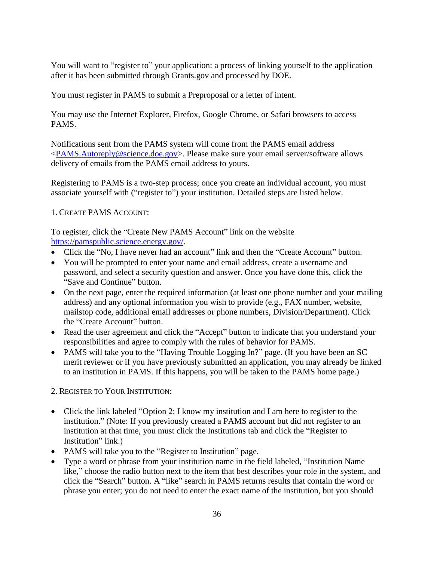You will want to "register to" your application: a process of linking yourself to the application after it has been submitted through Grants.gov and processed by DOE.

You must register in PAMS to submit a Preproposal or a letter of intent.

You may use the Internet Explorer, Firefox, Google Chrome, or Safari browsers to access PAMS.

Notifications sent from the PAMS system will come from the PAMS email address [<PAMS.Autoreply@science.doe.gov>](mailto:PAMS.Autoreply@science.doe.gov). Please make sure your email server/software allows delivery of emails from the PAMS email address to yours.

Registering to PAMS is a two-step process; once you create an individual account, you must associate yourself with ("register to") your institution. Detailed steps are listed below.

### 1. CREATE PAMS ACCOUNT:

To register, click the "Create New PAMS Account" link on the website [https://pamspublic.science.energy.gov/.](https://pamspublic.science.energy.gov/)

- Click the "No, I have never had an account" link and then the "Create Account" button.
- You will be prompted to enter your name and email address, create a username and password, and select a security question and answer. Once you have done this, click the "Save and Continue" button.
- On the next page, enter the required information (at least one phone number and your mailing address) and any optional information you wish to provide (e.g., FAX number, website, mailstop code, additional email addresses or phone numbers, Division/Department). Click the "Create Account" button.
- Read the user agreement and click the "Accept" button to indicate that you understand your responsibilities and agree to comply with the rules of behavior for PAMS.
- PAMS will take you to the "Having Trouble Logging In?" page. (If you have been an SC merit reviewer or if you have previously submitted an application, you may already be linked to an institution in PAMS. If this happens, you will be taken to the PAMS home page.)

2. REGISTER TO YOUR INSTITUTION:

- Click the link labeled "Option 2: I know my institution and I am here to register to the institution." (Note: If you previously created a PAMS account but did not register to an institution at that time, you must click the Institutions tab and click the "Register to Institution" link.)
- PAMS will take you to the "Register to Institution" page.
- Type a word or phrase from your institution name in the field labeled, "Institution Name like," choose the radio button next to the item that best describes your role in the system, and click the "Search" button. A "like" search in PAMS returns results that contain the word or phrase you enter; you do not need to enter the exact name of the institution, but you should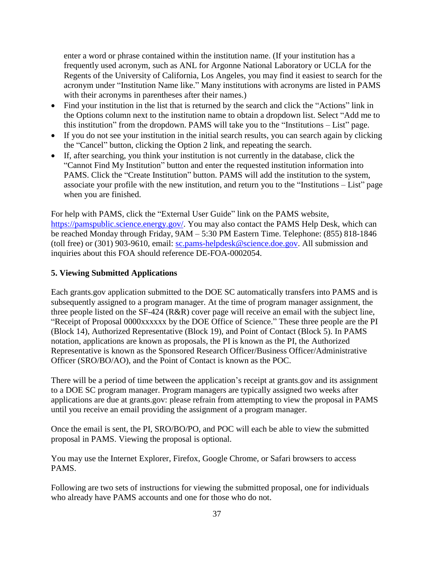enter a word or phrase contained within the institution name. (If your institution has a frequently used acronym, such as ANL for Argonne National Laboratory or UCLA for the Regents of the University of California, Los Angeles, you may find it easiest to search for the acronym under "Institution Name like." Many institutions with acronyms are listed in PAMS with their acronyms in parentheses after their names.)

- Find your institution in the list that is returned by the search and click the "Actions" link in the Options column next to the institution name to obtain a dropdown list. Select "Add me to this institution" from the dropdown. PAMS will take you to the "Institutions – List" page.
- If you do not see your institution in the initial search results, you can search again by clicking the "Cancel" button, clicking the Option 2 link, and repeating the search.
- If, after searching, you think your institution is not currently in the database, click the "Cannot Find My Institution" button and enter the requested institution information into PAMS. Click the "Create Institution" button. PAMS will add the institution to the system, associate your profile with the new institution, and return you to the "Institutions – List" page when you are finished.

For help with PAMS, click the "External User Guide" link on the PAMS website, [https://pamspublic.science.energy.gov/.](https://pamspublic.science.energy.gov/) You may also contact the PAMS Help Desk, which can be reached Monday through Friday, 9AM – 5:30 PM Eastern Time. Telephone: (855) 818-1846 (toll free) or (301) 903-9610, email: [sc.pams-helpdesk@science.doe.gov.](mailto:sc.pams-helpdesk@science.doe.gov) All submission and inquiries about this FOA should reference DE-FOA-0002054.

### **5. Viewing Submitted Applications**

Each grants.gov application submitted to the DOE SC automatically transfers into PAMS and is subsequently assigned to a program manager. At the time of program manager assignment, the three people listed on the SF-424 (R&R) cover page will receive an email with the subject line, "Receipt of Proposal 0000xxxxxx by the DOE Office of Science." These three people are the PI (Block 14), Authorized Representative (Block 19), and Point of Contact (Block 5). In PAMS notation, applications are known as proposals, the PI is known as the PI, the Authorized Representative is known as the Sponsored Research Officer/Business Officer/Administrative Officer (SRO/BO/AO), and the Point of Contact is known as the POC.

There will be a period of time between the application's receipt at grants.gov and its assignment to a DOE SC program manager. Program managers are typically assigned two weeks after applications are due at grants.gov: please refrain from attempting to view the proposal in PAMS until you receive an email providing the assignment of a program manager.

Once the email is sent, the PI, SRO/BO/PO, and POC will each be able to view the submitted proposal in PAMS. Viewing the proposal is optional.

You may use the Internet Explorer, Firefox, Google Chrome, or Safari browsers to access PAMS.

Following are two sets of instructions for viewing the submitted proposal, one for individuals who already have PAMS accounts and one for those who do not.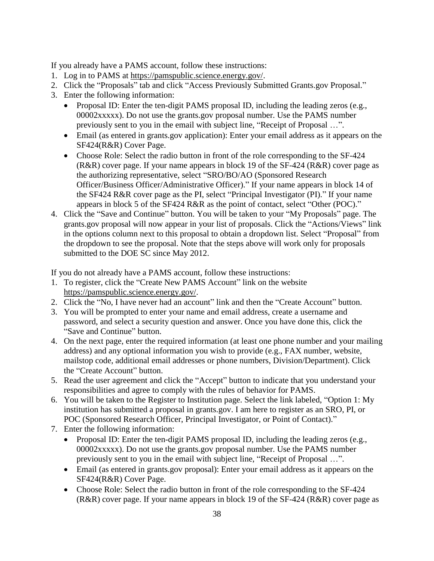If you already have a PAMS account, follow these instructions:

- 1. Log in to PAMS at [https://pamspublic.science.energy.gov/.](https://pamspublic.science.energy.gov/)
- 2. Click the "Proposals" tab and click "Access Previously Submitted Grants.gov Proposal."
- 3. Enter the following information:
	- Proposal ID: Enter the ten-digit PAMS proposal ID, including the leading zeros (e.g., 00002xxxxx). Do not use the grants.gov proposal number. Use the PAMS number previously sent to you in the email with subject line, "Receipt of Proposal …".
	- Email (as entered in grants.gov application): Enter your email address as it appears on the SF424(R&R) Cover Page.
	- Choose Role: Select the radio button in front of the role corresponding to the SF-424 (R&R) cover page. If your name appears in block 19 of the SF-424 (R&R) cover page as the authorizing representative, select "SRO/BO/AO (Sponsored Research Officer/Business Officer/Administrative Officer)." If your name appears in block 14 of the SF424 R&R cover page as the PI, select "Principal Investigator (PI)." If your name appears in block 5 of the SF424 R&R as the point of contact, select "Other (POC)."
- 4. Click the "Save and Continue" button. You will be taken to your "My Proposals" page. The grants.gov proposal will now appear in your list of proposals. Click the "Actions/Views" link in the options column next to this proposal to obtain a dropdown list. Select "Proposal" from the dropdown to see the proposal. Note that the steps above will work only for proposals submitted to the DOE SC since May 2012.

If you do not already have a PAMS account, follow these instructions:

- 1. To register, click the "Create New PAMS Account" link on the website [https://pamspublic.science.energy.gov/.](https://pamspublic.science.energy.gov/)
- 2. Click the "No, I have never had an account" link and then the "Create Account" button.
- 3. You will be prompted to enter your name and email address, create a username and password, and select a security question and answer. Once you have done this, click the "Save and Continue" button.
- 4. On the next page, enter the required information (at least one phone number and your mailing address) and any optional information you wish to provide (e.g., FAX number, website, mailstop code, additional email addresses or phone numbers, Division/Department). Click the "Create Account" button.
- 5. Read the user agreement and click the "Accept" button to indicate that you understand your responsibilities and agree to comply with the rules of behavior for PAMS.
- 6. You will be taken to the Register to Institution page. Select the link labeled, "Option 1: My institution has submitted a proposal in grants.gov. I am here to register as an SRO, PI, or POC (Sponsored Research Officer, Principal Investigator, or Point of Contact)."
- 7. Enter the following information:
	- Proposal ID: Enter the ten-digit PAMS proposal ID, including the leading zeros (e.g., 00002xxxxx). Do not use the grants.gov proposal number. Use the PAMS number previously sent to you in the email with subject line, "Receipt of Proposal …".
	- Email (as entered in grants.gov proposal): Enter your email address as it appears on the SF424(R&R) Cover Page.
	- Choose Role: Select the radio button in front of the role corresponding to the SF-424 (R&R) cover page. If your name appears in block 19 of the SF-424 (R&R) cover page as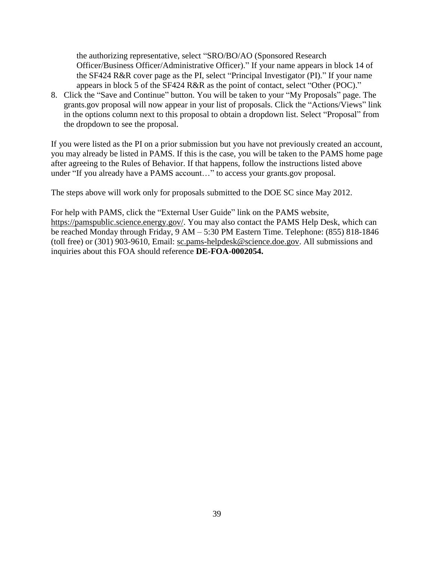the authorizing representative, select "SRO/BO/AO (Sponsored Research Officer/Business Officer/Administrative Officer)." If your name appears in block 14 of the SF424 R&R cover page as the PI, select "Principal Investigator (PI)." If your name appears in block 5 of the SF424 R&R as the point of contact, select "Other (POC)."

8. Click the "Save and Continue" button. You will be taken to your "My Proposals" page. The grants.gov proposal will now appear in your list of proposals. Click the "Actions/Views" link in the options column next to this proposal to obtain a dropdown list. Select "Proposal" from the dropdown to see the proposal.

If you were listed as the PI on a prior submission but you have not previously created an account, you may already be listed in PAMS. If this is the case, you will be taken to the PAMS home page after agreeing to the Rules of Behavior. If that happens, follow the instructions listed above under "If you already have a PAMS account…" to access your grants.gov proposal.

The steps above will work only for proposals submitted to the DOE SC since May 2012.

For help with PAMS, click the "External User Guide" link on the PAMS website, [https://pamspublic.science.energy.gov/.](https://pamspublic.science.energy.gov/) You may also contact the PAMS Help Desk, which can be reached Monday through Friday, 9 AM – 5:30 PM Eastern Time. Telephone: (855) 818-1846 (toll free) or (301) 903-9610, Email: [sc.pams-helpdesk@science.doe.gov.](mailto:sc.pams-helpdesk@science.doe.gov) All submissions and inquiries about this FOA should reference **DE-FOA-0002054.**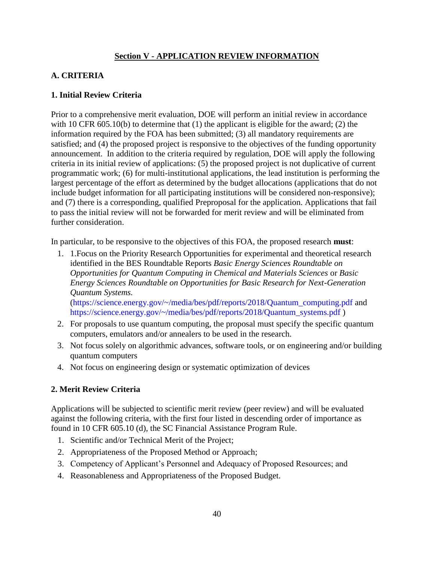### **Section V - APPLICATION REVIEW INFORMATION**

# <span id="page-45-1"></span><span id="page-45-0"></span>**A. CRITERIA**

### **1. Initial Review Criteria**

Prior to a comprehensive merit evaluation, DOE will perform an initial review in accordance with 10 CFR 605.10(b) to determine that (1) the applicant is eligible for the award; (2) the information required by the FOA has been submitted; (3) all mandatory requirements are satisfied; and (4) the proposed project is responsive to the objectives of the funding opportunity announcement. In addition to the criteria required by regulation, DOE will apply the following criteria in its initial review of applications: (5) the proposed project is not duplicative of current programmatic work; (6) for multi-institutional applications, the lead institution is performing the largest percentage of the effort as determined by the budget allocations (applications that do not include budget information for all participating institutions will be considered non-responsive); and (7) there is a corresponding, qualified Preproposal for the application. Applications that fail to pass the initial review will not be forwarded for merit review and will be eliminated from further consideration.

In particular, to be responsive to the objectives of this FOA, the proposed research **must**:

- 1. 1.Focus on the Priority Research Opportunities for experimental and theoretical research identified in the BES Roundtable Reports *Basic Energy Sciences Roundtable on Opportunities for Quantum Computing in Chemical and Materials Sciences* or *Basic Energy Sciences Roundtable on Opportunities for Basic Research for Next-Generation Quantum Systems.* (https://science.energy.gov/~/media/bes/pdf/reports/2018/Quantum\_computing.pdf and https://science.energy.gov/~/media/bes/pdf/reports/2018/Quantum\_systems.pdf )
- 2. For proposals to use quantum computing, the proposal must specify the specific quantum computers, emulators and/or annealers to be used in the research.
- 3. Not focus solely on algorithmic advances, software tools, or on engineering and/or building quantum computers
- 4. Not focus on engineering design or systematic optimization of devices

### **2. Merit Review Criteria**

Applications will be subjected to scientific merit review (peer review) and will be evaluated against the following criteria, with the first four listed in descending order of importance as found in 10 CFR 605.10 (d), the SC Financial Assistance Program Rule.

- 1. Scientific and/or Technical Merit of the Project;
- 2. Appropriateness of the Proposed Method or Approach;
- 3. Competency of Applicant's Personnel and Adequacy of Proposed Resources; and
- 4. Reasonableness and Appropriateness of the Proposed Budget.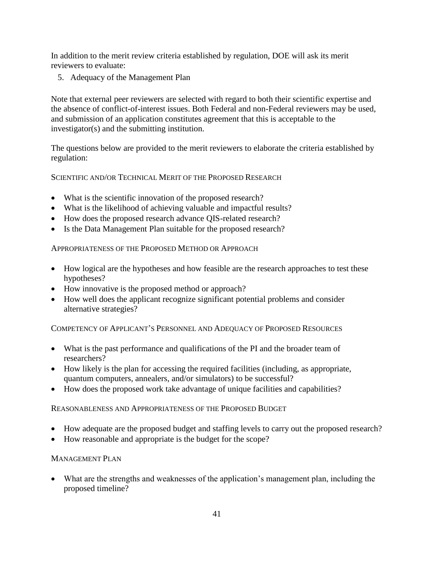In addition to the merit review criteria established by regulation, DOE will ask its merit reviewers to evaluate:

5. Adequacy of the Management Plan

Note that external peer reviewers are selected with regard to both their scientific expertise and the absence of conflict-of-interest issues. Both Federal and non-Federal reviewers may be used, and submission of an application constitutes agreement that this is acceptable to the investigator(s) and the submitting institution.

The questions below are provided to the merit reviewers to elaborate the criteria established by regulation:

SCIENTIFIC AND/OR TECHNICAL MERIT OF THE PROPOSED RESEARCH

- What is the scientific innovation of the proposed research?
- What is the likelihood of achieving valuable and impactful results?
- How does the proposed research advance QIS-related research?
- Is the Data Management Plan suitable for the proposed research?

### APPROPRIATENESS OF THE PROPOSED METHOD OR APPROACH

- How logical are the hypotheses and how feasible are the research approaches to test these hypotheses?
- How innovative is the proposed method or approach?
- How well does the applicant recognize significant potential problems and consider alternative strategies?

COMPETENCY OF APPLICANT'S PERSONNEL AND ADEQUACY OF PROPOSED RESOURCES

- What is the past performance and qualifications of the PI and the broader team of researchers?
- How likely is the plan for accessing the required facilities (including, as appropriate, quantum computers, annealers, and/or simulators) to be successful?
- How does the proposed work take advantage of unique facilities and capabilities?

REASONABLENESS AND APPROPRIATENESS OF THE PROPOSED BUDGET

- How adequate are the proposed budget and staffing levels to carry out the proposed research?
- How reasonable and appropriate is the budget for the scope?

### MANAGEMENT PLAN

 What are the strengths and weaknesses of the application's management plan, including the proposed timeline?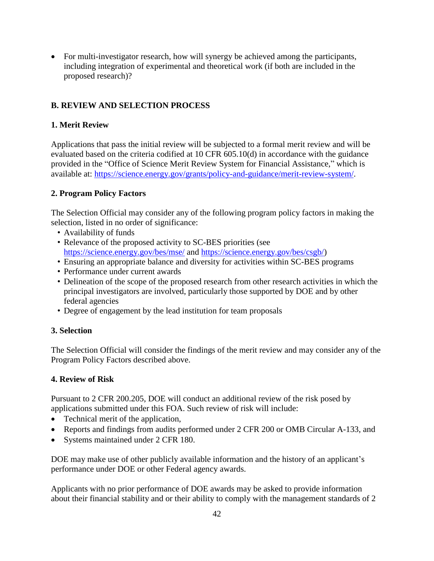• For multi-investigator research, how will synergy be achieved among the participants, including integration of experimental and theoretical work (if both are included in the proposed research)?

### <span id="page-47-0"></span>**B. REVIEW AND SELECTION PROCESS**

### **1. Merit Review**

Applications that pass the initial review will be subjected to a formal merit review and will be evaluated based on the criteria codified at 10 CFR 605.10(d) in accordance with the guidance provided in the "Office of Science Merit Review System for Financial Assistance," which is available at: [https://science.energy.gov/grants/policy-and-guidance/merit-review-system/.](http://science.energy.gov/grants/policy-and-guidance/merit-review-system/)

### **2. Program Policy Factors**

The Selection Official may consider any of the following program policy factors in making the selection, listed in no order of significance:

- Availability of funds
- Relevance of the proposed activity to SC-BES priorities (see <https://science.energy.gov/bes/mse/> and [https://science.energy.gov/bes/csgb/\)](https://science.energy.gov/bes/csgb/)
- Ensuring an appropriate balance and diversity for activities within SC-BES programs
- Performance under current awards
- Delineation of the scope of the proposed research from other research activities in which the principal investigators are involved, particularly those supported by DOE and by other federal agencies
- Degree of engagement by the lead institution for team proposals

#### **3. Selection**

The Selection Official will consider the findings of the merit review and may consider any of the Program Policy Factors described above.

#### **4. Review of Risk**

Pursuant to 2 CFR 200.205, DOE will conduct an additional review of the risk posed by applications submitted under this FOA. Such review of risk will include:

- Technical merit of the application,
- Reports and findings from audits performed under 2 CFR 200 or OMB Circular A-133, and
- Systems maintained under 2 CFR 180.

DOE may make use of other publicly available information and the history of an applicant's performance under DOE or other Federal agency awards.

Applicants with no prior performance of DOE awards may be asked to provide information about their financial stability and or their ability to comply with the management standards of 2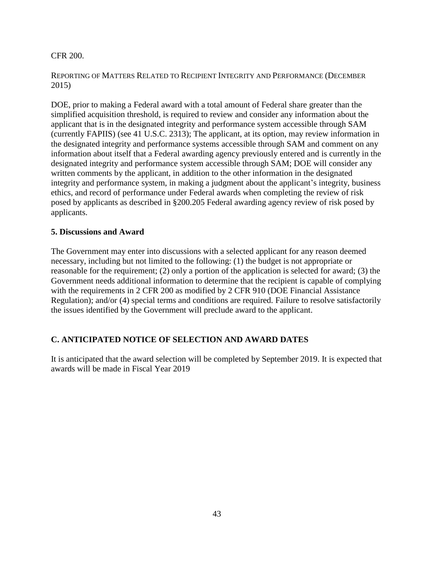#### CFR 200.

#### REPORTING OF MATTERS RELATED TO RECIPIENT INTEGRITY AND PERFORMANCE (DECEMBER 2015)

DOE, prior to making a Federal award with a total amount of Federal share greater than the simplified acquisition threshold, is required to review and consider any information about the applicant that is in the designated integrity and performance system accessible through SAM (currently FAPIIS) (see 41 U.S.C. 2313); The applicant, at its option, may review information in the designated integrity and performance systems accessible through SAM and comment on any information about itself that a Federal awarding agency previously entered and is currently in the designated integrity and performance system accessible through SAM; DOE will consider any written comments by the applicant, in addition to the other information in the designated integrity and performance system, in making a judgment about the applicant's integrity, business ethics, and record of performance under Federal awards when completing the review of risk posed by applicants as described in §200.205 Federal awarding agency review of risk posed by applicants.

### **5. Discussions and Award**

The Government may enter into discussions with a selected applicant for any reason deemed necessary, including but not limited to the following: (1) the budget is not appropriate or reasonable for the requirement; (2) only a portion of the application is selected for award; (3) the Government needs additional information to determine that the recipient is capable of complying with the requirements in 2 CFR 200 as modified by 2 CFR 910 (DOE Financial Assistance Regulation); and/or (4) special terms and conditions are required. Failure to resolve satisfactorily the issues identified by the Government will preclude award to the applicant.

### <span id="page-48-0"></span>**C. ANTICIPATED NOTICE OF SELECTION AND AWARD DATES**

It is anticipated that the award selection will be completed by September 2019. It is expected that awards will be made in Fiscal Year 2019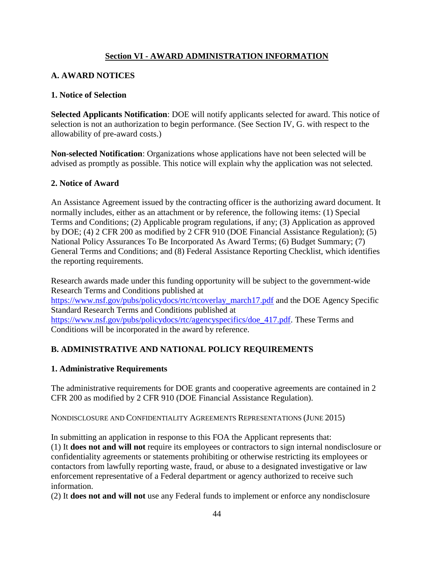### **Section VI - AWARD ADMINISTRATION INFORMATION**

### <span id="page-49-1"></span><span id="page-49-0"></span>**A. AWARD NOTICES**

### **1. Notice of Selection**

**Selected Applicants Notification**: DOE will notify applicants selected for award. This notice of selection is not an authorization to begin performance. (See Section IV, G. with respect to the allowability of pre-award costs.)

**Non-selected Notification**: Organizations whose applications have not been selected will be advised as promptly as possible. This notice will explain why the application was not selected.

### **2. Notice of Award**

An Assistance Agreement issued by the contracting officer is the authorizing award document. It normally includes, either as an attachment or by reference, the following items: (1) Special Terms and Conditions; (2) Applicable program regulations, if any; (3) Application as approved by DOE; (4) 2 CFR 200 as modified by 2 CFR 910 (DOE Financial Assistance Regulation); (5) National Policy Assurances To Be Incorporated As Award Terms; (6) Budget Summary; (7) General Terms and Conditions; and (8) Federal Assistance Reporting Checklist, which identifies the reporting requirements.

Research awards made under this funding opportunity will be subject to the government-wide Research Terms and Conditions published at [https://www.nsf.gov/pubs/policydocs/rtc/rtcoverlay\\_march17.pdf](https://www.nsf.gov/pubs/policydocs/rtc/rtcoverlay_march17.pdf) and the DOE Agency Specific Standard Research Terms and Conditions published at https://www.nsf.gov/pubs/policydocs/rtc/agencyspecifics/doe 417.pdf. These Terms and Conditions will be incorporated in the award by reference.

# <span id="page-49-2"></span>**B. ADMINISTRATIVE AND NATIONAL POLICY REQUIREMENTS**

#### **1. Administrative Requirements**

The administrative requirements for DOE grants and cooperative agreements are contained in 2 CFR 200 as modified by 2 CFR 910 (DOE Financial Assistance Regulation).

NONDISCLOSURE AND CONFIDENTIALITY AGREEMENTS REPRESENTATIONS (JUNE 2015)

In submitting an application in response to this FOA the Applicant represents that: (1) It **does not and will not** require its employees or contractors to sign internal nondisclosure or confidentiality agreements or statements prohibiting or otherwise restricting its employees or contactors from lawfully reporting waste, fraud, or abuse to a designated investigative or law enforcement representative of a Federal department or agency authorized to receive such information.

(2) It **does not and will not** use any Federal funds to implement or enforce any nondisclosure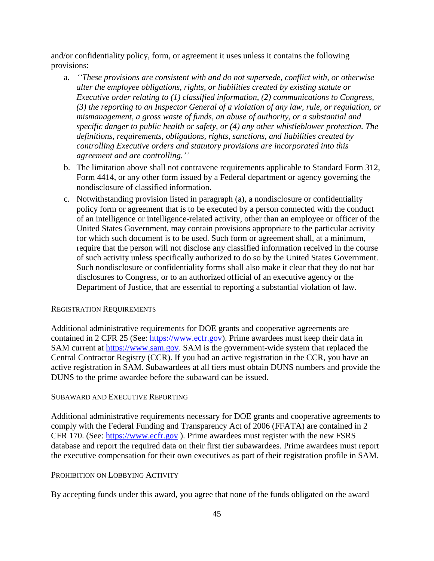and/or confidentiality policy, form, or agreement it uses unless it contains the following provisions:

- a. *''These provisions are consistent with and do not supersede, conflict with, or otherwise alter the employee obligations, rights, or liabilities created by existing statute or Executive order relating to (1) classified information, (2) communications to Congress, (3) the reporting to an Inspector General of a violation of any law, rule, or regulation, or mismanagement, a gross waste of funds, an abuse of authority, or a substantial and specific danger to public health or safety, or (4) any other whistleblower protection. The definitions, requirements, obligations, rights, sanctions, and liabilities created by controlling Executive orders and statutory provisions are incorporated into this agreement and are controlling.''*
- b. The limitation above shall not contravene requirements applicable to Standard Form 312, Form 4414, or any other form issued by a Federal department or agency governing the nondisclosure of classified information.
- c. Notwithstanding provision listed in paragraph (a), a nondisclosure or confidentiality policy form or agreement that is to be executed by a person connected with the conduct of an intelligence or intelligence-related activity, other than an employee or officer of the United States Government, may contain provisions appropriate to the particular activity for which such document is to be used. Such form or agreement shall, at a minimum, require that the person will not disclose any classified information received in the course of such activity unless specifically authorized to do so by the United States Government. Such nondisclosure or confidentiality forms shall also make it clear that they do not bar disclosures to Congress, or to an authorized official of an executive agency or the Department of Justice, that are essential to reporting a substantial violation of law.

#### REGISTRATION REQUIREMENTS

Additional administrative requirements for DOE grants and cooperative agreements are contained in 2 CFR 25 (See: [https://www.ecfr.gov\)](http://www.ecfr.gov/). Prime awardees must keep their data in SAM current at [https://www.sam.gov.](http://www.sam.gov/) SAM is the government-wide system that replaced the Central Contractor Registry (CCR). If you had an active registration in the CCR, you have an active registration in SAM. Subawardees at all tiers must obtain DUNS numbers and provide the DUNS to the prime awardee before the subaward can be issued.

#### SUBAWARD AND EXECUTIVE REPORTING

Additional administrative requirements necessary for DOE grants and cooperative agreements to comply with the Federal Funding and Transparency Act of 2006 (FFATA) are contained in 2 CFR 170. (See: [https://www.ecfr.gov](http://www.ecfr.gov/) ). Prime awardees must register with the new FSRS database and report the required data on their first tier subawardees. Prime awardees must report the executive compensation for their own executives as part of their registration profile in SAM.

#### PROHIBITION ON LOBBYING ACTIVITY

By accepting funds under this award, you agree that none of the funds obligated on the award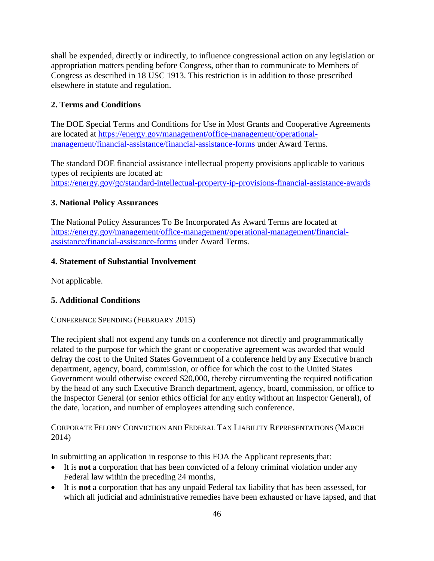shall be expended, directly or indirectly, to influence congressional action on any legislation or appropriation matters pending before Congress, other than to communicate to Members of Congress as described in 18 USC 1913. This restriction is in addition to those prescribed elsewhere in statute and regulation.

### **2. Terms and Conditions**

The DOE Special Terms and Conditions for Use in Most Grants and Cooperative Agreements are located at [https://energy.gov/management/office-management/operational](http://energy.gov/management/office-management/operational-management/financial-assistance/financial-assistance-forms)[management/financial-assistance/financial-assistance-forms](http://energy.gov/management/office-management/operational-management/financial-assistance/financial-assistance-forms) under Award Terms.

The standard DOE financial assistance intellectual property provisions applicable to various types of recipients are located at: [https://energy.gov/gc/standard-intellectual-property-ip-provisions-financial-assistance-awards](http://energy.gov/gc/standard-intellectual-property-ip-provisions-financial-assistance-awards)

### **3. National Policy Assurances**

The National Policy Assurances To Be Incorporated As Award Terms are located at [https://energy.gov/management/office-management/operational-management/financial](http://energy.gov/management/office-management/operational-management/financial-assistance/financial-assistance-forms)[assistance/financial-assistance-forms](http://energy.gov/management/office-management/operational-management/financial-assistance/financial-assistance-forms) under Award Terms.

### **4. Statement of Substantial Involvement**

Not applicable.

### **5. Additional Conditions**

#### CONFERENCE SPENDING (FEBRUARY 2015)

The recipient shall not expend any funds on a conference not directly and programmatically related to the purpose for which the grant or cooperative agreement was awarded that would defray the cost to the United States Government of a conference held by any Executive branch department, agency, board, commission, or office for which the cost to the United States Government would otherwise exceed \$20,000, thereby circumventing the required notification by the head of any such Executive Branch department, agency, board, commission, or office to the Inspector General (or senior ethics official for any entity without an Inspector General), of the date, location, and number of employees attending such conference.

### CORPORATE FELONY CONVICTION AND FEDERAL TAX LIABILITY REPRESENTATIONS (MARCH 2014)

In submitting an application in response to this FOA the Applicant represents that:

- It is **not** a corporation that has been convicted of a felony criminal violation under any Federal law within the preceding 24 months,
- It is **not** a corporation that has any unpaid Federal tax liability that has been assessed, for which all judicial and administrative remedies have been exhausted or have lapsed, and that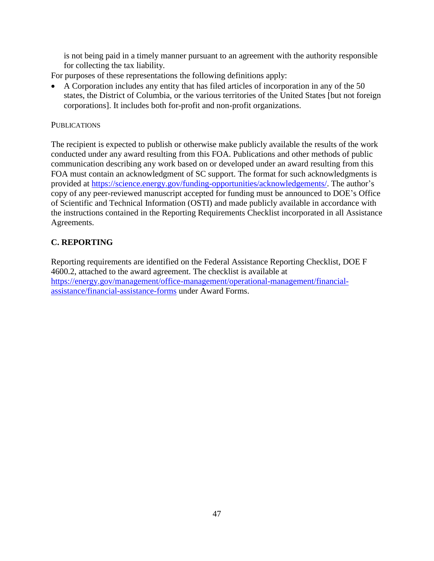is not being paid in a timely manner pursuant to an agreement with the authority responsible for collecting the tax liability.

For purposes of these representations the following definitions apply:

 A Corporation includes any entity that has filed articles of incorporation in any of the 50 states, the District of Columbia, or the various territories of the United States [but not foreign corporations]. It includes both for-profit and non-profit organizations.

### **PUBLICATIONS**

The recipient is expected to publish or otherwise make publicly available the results of the work conducted under any award resulting from this FOA. Publications and other methods of public communication describing any work based on or developed under an award resulting from this FOA must contain an acknowledgment of SC support. The format for such acknowledgments is provided at [https://science.energy.gov/funding-opportunities/acknowledgements/.](http://science.energy.gov/funding-opportunities/acknowledgements/) The author's copy of any peer-reviewed manuscript accepted for funding must be announced to DOE's Office of Scientific and Technical Information (OSTI) and made publicly available in accordance with the instructions contained in the Reporting Requirements Checklist incorporated in all Assistance Agreements.

# <span id="page-52-0"></span>**C. REPORTING**

Reporting requirements are identified on the Federal Assistance Reporting Checklist, DOE F 4600.2, attached to the award agreement. The checklist is available at [https://energy.gov/management/office-management/operational-management/financial](http://energy.gov/management/office-management/operational-management/financial-assistance/financial-assistance-forms)[assistance/financial-assistance-forms](http://energy.gov/management/office-management/operational-management/financial-assistance/financial-assistance-forms) under Award Forms.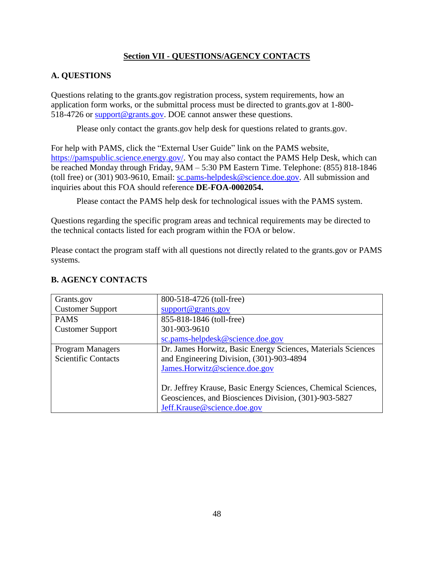### **Section VII - QUESTIONS/AGENCY CONTACTS**

### <span id="page-53-1"></span><span id="page-53-0"></span>**A. QUESTIONS**

Questions relating to the grants.gov registration process, system requirements, how an application form works, or the submittal process must be directed to grants.gov at 1-800- 518-4726 or [support@grants.gov.](mailto:support@grants.gov) DOE cannot answer these questions.

Please only contact the grants.gov help desk for questions related to grants.gov.

For help with PAMS, click the "External User Guide" link on the PAMS website, [https://pamspublic.science.energy.gov/.](https://pamspublic.science.energy.gov/) You may also contact the PAMS Help Desk, which can be reached Monday through Friday, 9AM – 5:30 PM Eastern Time. Telephone: (855) 818-1846 (toll free) or (301) 903-9610, Email: [sc.pams-helpdesk@science.doe.gov.](mailto:sc.pams-helpdesk@science.doe.gov) All submission and inquiries about this FOA should reference **DE-FOA-0002054.**

Please contact the PAMS help desk for technological issues with the PAMS system.

Questions regarding the specific program areas and technical requirements may be directed to the technical contacts listed for each program within the FOA or below.

Please contact the program staff with all questions not directly related to the grants.gov or PAMS systems.

| Grants.gov                 | 800-518-4726 (toll-free)                                      |  |
|----------------------------|---------------------------------------------------------------|--|
| <b>Customer Support</b>    | support@grants.gov                                            |  |
| <b>PAMS</b>                | 855-818-1846 (toll-free)                                      |  |
| <b>Customer Support</b>    | 301-903-9610                                                  |  |
|                            | sc.pams-helpdesk@science.doe.gov                              |  |
| <b>Program Managers</b>    | Dr. James Horwitz, Basic Energy Sciences, Materials Sciences  |  |
| <b>Scientific Contacts</b> | and Engineering Division, (301)-903-4894                      |  |
|                            | James.Horwitz@science.doe.gov                                 |  |
|                            |                                                               |  |
|                            | Dr. Jeffrey Krause, Basic Energy Sciences, Chemical Sciences, |  |
|                            | Geosciences, and Biosciences Division, (301)-903-5827         |  |
|                            | Jeff.Krause@science.doe.gov                                   |  |

### <span id="page-53-2"></span>**B. AGENCY CONTACTS**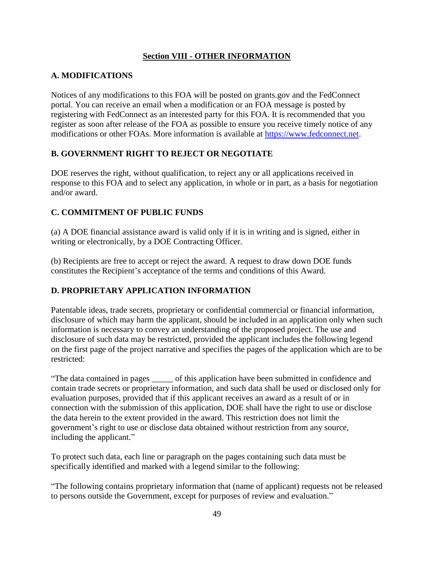### **Section VIII - OTHER INFORMATION**

### <span id="page-54-1"></span><span id="page-54-0"></span>**A. MODIFICATIONS**

Notices of any modifications to this FOA will be posted on grants.gov and the FedConnect portal. You can receive an email when a modification or an FOA message is posted by registering with FedConnect as an interested party for this FOA. It is recommended that you register as soon after release of the FOA as possible to ensure you receive timely notice of any modifications or other FOAs. More information is available at [https://www.fedconnect.net.](http://www.fedconnect.net/)

# <span id="page-54-2"></span>**B. GOVERNMENT RIGHT TO REJECT OR NEGOTIATE**

DOE reserves the right, without qualification, to reject any or all applications received in response to this FOA and to select any application, in whole or in part, as a basis for negotiation and/or award.

### <span id="page-54-3"></span>**C. COMMITMENT OF PUBLIC FUNDS**

(a) A DOE financial assistance award is valid only if it is in writing and is signed, either in writing or electronically, by a DOE Contracting Officer.

(b) Recipients are free to accept or reject the award. A request to draw down DOE funds constitutes the Recipient's acceptance of the terms and conditions of this Award.

# <span id="page-54-4"></span>**D. PROPRIETARY APPLICATION INFORMATION**

Patentable ideas, trade secrets, proprietary or confidential commercial or financial information, disclosure of which may harm the applicant, should be included in an application only when such information is necessary to convey an understanding of the proposed project. The use and disclosure of such data may be restricted, provided the applicant includes the following legend on the first page of the project narrative and specifies the pages of the application which are to be restricted:

"The data contained in pages \_\_\_\_\_ of this application have been submitted in confidence and contain trade secrets or proprietary information, and such data shall be used or disclosed only for evaluation purposes, provided that if this applicant receives an award as a result of or in connection with the submission of this application, DOE shall have the right to use or disclose the data herein to the extent provided in the award. This restriction does not limit the government's right to use or disclose data obtained without restriction from any source, including the applicant."

To protect such data, each line or paragraph on the pages containing such data must be specifically identified and marked with a legend similar to the following:

"The following contains proprietary information that (name of applicant) requests not be released to persons outside the Government, except for purposes of review and evaluation."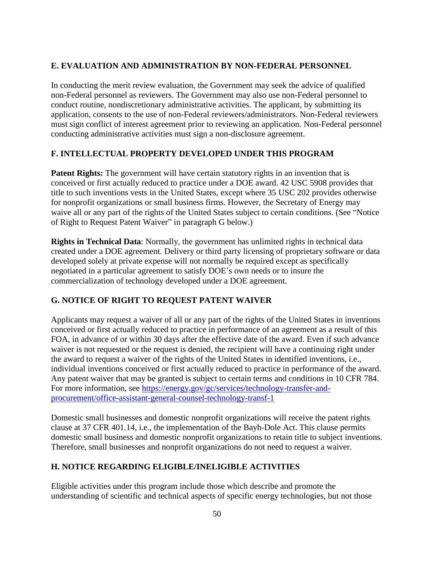### <span id="page-55-0"></span>**E. EVALUATION AND ADMINISTRATION BY NON-FEDERAL PERSONNEL**

In conducting the merit review evaluation, the Government may seek the advice of qualified non-Federal personnel as reviewers. The Government may also use non-Federal personnel to conduct routine, nondiscretionary administrative activities. The applicant, by submitting its application, consents to the use of non-Federal reviewers/administrators. Non-Federal reviewers must sign conflict of interest agreement prior to reviewing an application. Non-Federal personnel conducting administrative activities must sign a non-disclosure agreement.

### <span id="page-55-1"></span>**F. INTELLECTUAL PROPERTY DEVELOPED UNDER THIS PROGRAM**

**Patent Rights:** The government will have certain statutory rights in an invention that is conceived or first actually reduced to practice under a DOE award. 42 USC 5908 provides that title to such inventions vests in the United States, except where 35 USC 202 provides otherwise for nonprofit organizations or small business firms. However, the Secretary of Energy may waive all or any part of the rights of the United States subject to certain conditions. (See "Notice of Right to Request Patent Waiver" in paragraph G below.)

**Rights in Technical Data**: Normally, the government has unlimited rights in technical data created under a DOE agreement. Delivery or third party licensing of proprietary software or data developed solely at private expense will not normally be required except as specifically negotiated in a particular agreement to satisfy DOE's own needs or to insure the commercialization of technology developed under a DOE agreement.

# <span id="page-55-2"></span>**G. NOTICE OF RIGHT TO REQUEST PATENT WAIVER**

Applicants may request a waiver of all or any part of the rights of the United States in inventions conceived or first actually reduced to practice in performance of an agreement as a result of this FOA, in advance of or within 30 days after the effective date of the award. Even if such advance waiver is not requested or the request is denied, the recipient will have a continuing right under the award to request a waiver of the rights of the United States in identified inventions, i.e., individual inventions conceived or first actually reduced to practice in performance of the award. Any patent waiver that may be granted is subject to certain terms and conditions in 10 CFR 784. For more information, see [https://energy.gov/gc/services/technology-transfer-and](http://energy.gov/gc/services/technology-transfer-and-procurement/office-assistant-general-counsel-technology-transf-1)[procurement/office-assistant-general-counsel-technology-transf-1](http://energy.gov/gc/services/technology-transfer-and-procurement/office-assistant-general-counsel-technology-transf-1)

Domestic small businesses and domestic nonprofit organizations will receive the patent rights clause at 37 CFR 401.14, i.e., the implementation of the Bayh-Dole Act. This clause permits domestic small business and domestic nonprofit organizations to retain title to subject inventions. Therefore, small businesses and nonprofit organizations do not need to request a waiver.

### <span id="page-55-3"></span>**H. NOTICE REGARDING ELIGIBLE/INELIGIBLE ACTIVITIES**

Eligible activities under this program include those which describe and promote the understanding of scientific and technical aspects of specific energy technologies, but not those